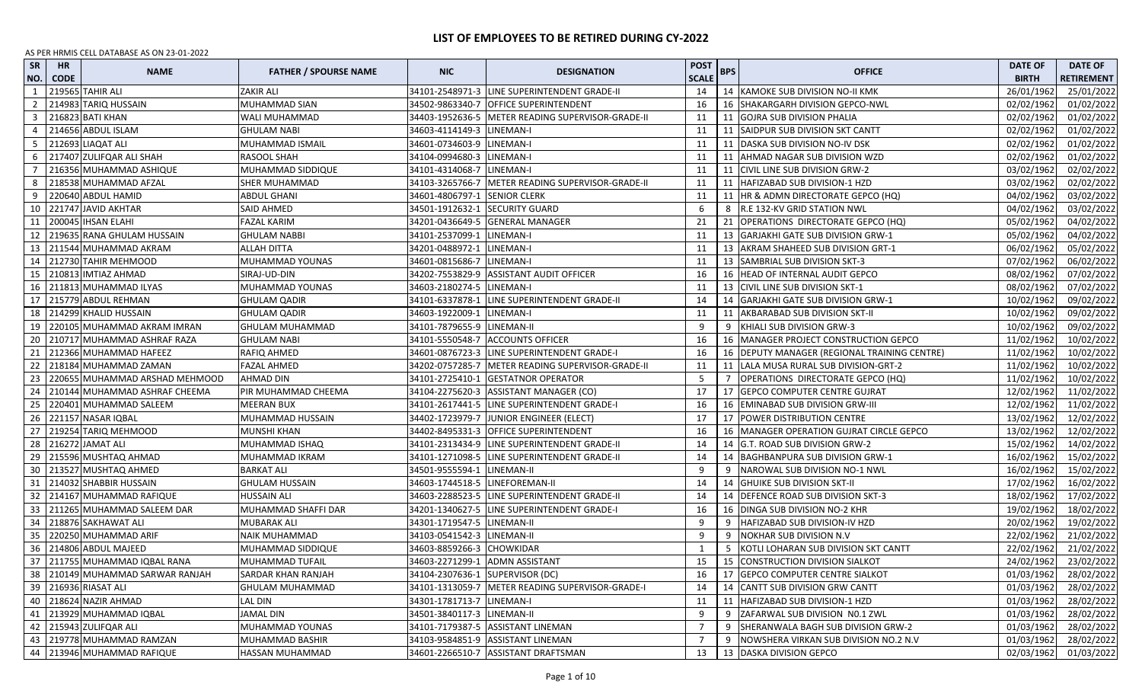| <b>SR</b><br>NO. | <b>HR</b><br><b>CODE</b> | <b>NAME</b>                        | <b>FATHER / SPOURSE NAME</b> | <b>NIC</b>                      | <b>DESIGNATION</b>                                  | <b>POST</b><br><b>SCALE</b> | <b>BPS</b> | <b>OFFICE</b>                                  | <b>DATE OF</b><br><b>BIRTH</b> | <b>DATE OF</b><br><b>RETIREMENT</b> |
|------------------|--------------------------|------------------------------------|------------------------------|---------------------------------|-----------------------------------------------------|-----------------------------|------------|------------------------------------------------|--------------------------------|-------------------------------------|
| 1                |                          | 219565 TAHIR ALI                   | ZAKIR ALI                    |                                 | 34101-2548971-3 LINE SUPERINTENDENT GRADE-II        | 14                          |            | 14 KAMOKE SUB DIVISION NO-II KMK               | 26/01/1962                     | 25/01/2022                          |
| $\overline{2}$   |                          | 214983 TARIQ HUSSAIN               | MUHAMMAD SIAN                | 34502-9863340-7                 | <b>OFFICE SUPERINTENDENT</b>                        | 16                          |            | 16 SHAKARGARH DIVISION GEPCO-NWL               | 02/02/1962                     | 01/02/2022                          |
| $\overline{3}$   |                          | 216823 BATI KHAN                   | WALI MUHAMMAD                |                                 | 34403-1952636-5   METER READING SUPERVISOR-GRADE-II | 11                          |            | 11 GOJRA SUB DIVISION PHALIA                   | 02/02/1962                     | 01/02/2022                          |
| 4                |                          | 214656 ABDUL ISLAM                 | GHULAM NABI                  | 34603-4114149-3                 | LINEMAN-I                                           | 11                          | 11         | SAIDPUR SUB DIVISION SKT CANTT                 | 02/02/1962                     | 01/02/2022                          |
| -5               |                          | 212693 LIAQAT ALI                  | MUHAMMAD ISMAIL              | 34601-0734603-9 LINEMAN-I       |                                                     | 11                          |            | 11   DASKA SUB DIVISION NO-IV DSK              | 02/02/1962                     | 01/02/2022                          |
| 6                |                          | 217407 ZULIFQAR ALI SHAH           | RASOOL SHAH                  | 34104-0994680-3                 | LINEMAN-I                                           | 11                          | 11         | AHMAD NAGAR SUB DIVISION WZD                   | 02/02/1962                     | 01/02/2022                          |
| 7                |                          | 216356 MUHAMMAD ASHIQUE            | MUHAMMAD SIDDIQUE            | 34101-4314068-7                 | LINEMAN-I                                           | 11                          |            | 11 CIVIL LINE SUB DIVISION GRW-2               | 03/02/1962                     | 02/02/2022                          |
| 8                |                          | 218538 MUHAMMAD AFZAL              | SHER MUHAMMAD                | 34103-3265766-7                 | METER READING SUPERVISOR-GRADE-II                   | 11                          |            | 11   HAFIZABAD SUB DIVISION-1 HZD              | 03/02/1962                     | 02/02/2022                          |
| 9                |                          | 220640 ABDUL HAMID                 | <b>ABDUL GHANI</b>           | 34601-4806797-1 SENIOR CLERK    |                                                     | 11                          |            | 11   HR & ADMN DIRECTORATE GEPCO (HQ)          | 04/02/1962                     | 03/02/2022                          |
| 10               |                          | 221747 JAVID AKHTAR                | SAID AHMED                   | 34501-1912632-1 SECURITY GUARD  |                                                     | 6                           |            | 8 R.E 132-KV GRID STATION NWL                  | 04/02/1962                     | 03/02/2022                          |
| 11               |                          | 200045 IHSAN ELAHI                 | FAZAL KARIM                  |                                 | 34201-0436649-5 GENERAL MANAGER                     | 21                          |            | 21 OPERATIONS DIRECTORATE GEPCO (HQ)           | 05/02/1962                     | 04/02/2022                          |
| 12               |                          | 219635 RANA GHULAM HUSSAIN         | <b>GHULAM NABBI</b>          | 34101-2537099-1                 | LINEMAN-I                                           | 11                          |            | 13 GARJAKHI GATE SUB DIVISION GRW-1            | 05/02/1962                     | 04/02/2022                          |
| 13               |                          | 211544 MUHAMMAD AKRAM              | ALLAH DITTA                  | 34201-0488972-1                 | LINEMAN-I                                           | 11                          |            | 13 AKRAM SHAHEED SUB DIVISION GRT-1            | 06/02/1962                     | 05/02/2022                          |
| 14               |                          | 212730 TAHIR MEHMOOD               | MUHAMMAD YOUNAS              | 34601-0815686-7                 | LINEMAN-I                                           | 11                          |            | 13   SAMBRIAL SUB DIVISION SKT-3               | 07/02/1962                     | 06/02/2022                          |
| 15               |                          | 210813 IMTIAZ AHMAD                | SIRAJ-UD-DIN                 | 34202-7553829-9                 | <b>ASSISTANT AUDIT OFFICER</b>                      | 16                          |            | 16 HEAD OF INTERNAL AUDIT GEPCO                | 08/02/1962                     | 07/02/2022                          |
| 16               |                          | 211813 MUHAMMAD ILYAS              | MUHAMMAD YOUNAS              | 34603-2180274-5                 | LINEMAN-I                                           | 11                          |            | 13 CIVIL LINE SUB DIVISION SKT-1               | 08/02/1962                     | 07/02/2022                          |
| 17               |                          | 215779 ABDUL REHMAN                | <b>GHULAM QADIR</b>          | 34101-6337878-1                 | LINE SUPERINTENDENT GRADE-II                        | 14                          |            | 14 GARJAKHI GATE SUB DIVISION GRW-1            | 10/02/1962                     | 09/02/2022                          |
| 18               |                          | 214299 KHALID HUSSAIN              | GHULAM QADIR                 | 34603-1922009-1                 | LINEMAN-I                                           | 11                          |            | 11   AKBARABAD SUB DIVISION SKT-II             | 10/02/1962                     | 09/02/2022                          |
| 19               |                          | 220105 MUHAMMAD AKRAM IMRAN        | GHULAM MUHAMMAD              | 34101-7879655-9 LINEMAN-II      |                                                     | 9                           | -9         | KHIALI SUB DIVISION GRW-3                      | 10/02/1962                     | 09/02/2022                          |
| 20               |                          | 210717 MUHAMMAD ASHRAF RAZA        | <b>GHULAM NABI</b>           |                                 | 34101-5550548-7 ACCOUNTS OFFICER                    | 16                          |            | 16   MANAGER PROJECT CONSTRUCTION GEPCO        | 11/02/1962                     | 10/02/2022                          |
| 21               |                          | 212366 MUHAMMAD HAFEEZ             | RAFIQ AHMED                  |                                 | 34601-0876723-3 LINE SUPERINTENDENT GRADE-I         | 16                          |            | 16   DEPUTY MANAGER (REGIONAL TRAINING CENTRE) | 11/02/1962                     | 10/02/2022                          |
| 22               |                          | 218184 MUHAMMAD ZAMAN              | <b>FAZAL AHMED</b>           | 34202-0757285-7                 | <b>IMETER READING SUPERVISOR-GRADE-II</b>           | 11                          |            | 11   LALA MUSA RURAL SUB DIVISION-GRT-2        | 11/02/1962                     | 10/02/2022                          |
| 23               |                          | 220655 MUHAMMAD ARSHAD MEHMOOD     | AHMAD DIN                    | 34101-2725410-1                 | <b>GESTATNOR OPERATOR</b>                           | 5                           | -7         | OPERATIONS DIRECTORATE GEPCO (HQ)              | 11/02/1962                     | 10/02/2022                          |
| 24               |                          | 210144 MUHAMMAD ASHRAF CHEEMA      | PIR MUHAMMAD CHEEMA          | 34104-2275620-3                 | ASSISTANT MANAGER (CO)                              | 17                          |            | 17 GEPCO COMPUTER CENTRE GUJRAT                | 12/02/1962                     | 11/02/2022                          |
| 25               |                          | 220401 MUHAMMAD SALEEM             | MEERAN BUX                   |                                 | 34101-2617441-5 LINE SUPERINTENDENT GRADE-I         | 16                          |            | 16 EMINABAD SUB DIVISION GRW-III               | 12/02/1962                     | 11/02/2022                          |
| 26               |                          | 221157 NASAR IQBAL                 | MUHAMMAD HUSSAIN             | 34402-1723979-7                 | JUNIOR ENGINEER (ELECT)                             | 17                          |            | 17 POWER DISTRIBUTION CENTRE                   | 13/02/1962                     | 12/02/2022                          |
| 27               |                          | 219254 TARIQ MEHMOOD               | MUNSHI KHAN                  |                                 | 34402-8495331-3 OFFICE SUPERINTENDENT               | 16                          |            | 16   MANAGER OPERATION GUJRAT CIRCLE GEPCO     | 13/02/1962                     | 12/02/2022                          |
| 28               |                          | 216272 JAMAT ALI                   | MUHAMMAD ISHAQ               |                                 | 34101-2313434-9 LINE SUPERINTENDENT GRADE-II        | 14                          |            | 14 G.T. ROAD SUB DIVISION GRW-2                | 15/02/1962                     | 14/02/2022                          |
| 29               |                          | 215596 MUSHTAQ AHMAD               | MUHAMMAD IKRAM               |                                 | 34101-1271098-5 LINE SUPERINTENDENT GRADE-II        | 14                          |            | 14 BAGHBANPURA SUB DIVISION GRW-1              | 16/02/1962                     | 15/02/2022                          |
| 30               |                          | 213527 MUSHTAQ AHMED               | BARKAT ALI                   | 34501-9555594-1                 | LINEMAN-II                                          | 9                           |            | NAROWAL SUB DIVISION NO-1 NWL                  | 16/02/1962                     | 15/02/2022                          |
| 31               |                          | 214032 SHABBIR HUSSAIN             | GHULAM HUSSAIN               | 34603-1744518-5 LINEFOREMAN-II  |                                                     | 14                          |            | 14 GHUIKE SUB DIVISION SKT-II                  | 17/02/1962                     | 16/02/2022                          |
| 32               |                          | 214167 MUHAMMAD RAFIQUE            | HUSSAIN ALI                  |                                 | 34603-2288523-5 LINE SUPERINTENDENT GRADE-II        | 14                          |            | 14 DEFENCE ROAD SUB DIVISION SKT-3             | 18/02/1962                     | 17/02/2022                          |
| 33               |                          | 211265 MUHAMMAD SALEEM DAR         | MUHAMMAD SHAFFI DAR          | 34201-1340627-5                 | <b>LINE SUPERINTENDENT GRADE-I</b>                  | 16                          |            | 16 DINGA SUB DIVISION NO-2 KHR                 | 19/02/1962                     | 18/02/2022                          |
| 34               |                          | 218876 SAKHAWAT ALI                | MUBARAK ALI                  | 34301-1719547-5                 | LINEMAN-II                                          | 9                           | 9          | HAFIZABAD SUB DIVISION-IV HZD                  | 20/02/1962                     | 19/02/2022                          |
| 35               |                          | 220250 MUHAMMAD ARIF               | <b>NAIK MUHAMMAD</b>         | 34103-0541542-3 LINEMAN-II      |                                                     | 9                           | 9          | <b>NOKHAR SUB DIVISION N.V</b>                 | 22/02/1962                     | 21/02/2022                          |
|                  |                          | 36 214806 ABDUL MAJEED             | MUHAMMAD SIDDIQUE            | 34603-8859266-3 CHOWKIDAR       |                                                     | 1                           | 5          | KOTLI LOHARAN SUB DIVISION SKT CANTT           | 22/02/1962                     | 21/02/2022                          |
|                  |                          | 37 211755 MUHAMMAD IQBAL RANA      | MUHAMMAD TUFAIL              |                                 | 34603-2271299-1 ADMN ASSISTANT                      | 15                          |            | 15 CONSTRUCTION DIVISION SIALKOT               | 24/02/1962                     | 23/02/2022                          |
|                  |                          | 38   210149 MUHAMMAD SARWAR RANJAH | SARDAR KHAN RANJAH           | 34104-2307636-1 SUPERVISOR (DC) |                                                     | 16                          |            | 17 GEPCO COMPUTER CENTRE SIALKOT               | 01/03/1962                     | 28/02/2022                          |
|                  |                          | 39 216936 RIASAT ALI               | <b>GHULAM MUHAMMAD</b>       |                                 | 34101-1313059-7   METER READING SUPERVISOR-GRADE-I  | 14                          |            | 14 CANTT SUB DIVISION GRW CANTT                | 01/03/1962                     | 28/02/2022                          |
|                  |                          | 40 218624 NAZIR AHMAD              | <b>LAL DIN</b>               | 34301-1781713-7 LINEMAN-I       |                                                     | 11                          |            | 11   HAFIZABAD SUB DIVISION-1 HZD              | 01/03/1962                     | 28/02/2022                          |
| 41               |                          | 213929 MUHAMMAD IQBAL              | <b>JAMAL DIN</b>             | 34501-3840117-3 LINEMAN-II      |                                                     | 9                           | 9          | ZAFARWAL SUB DIVISION NO.1 ZWL                 | 01/03/1962                     | 28/02/2022                          |
| 42               |                          | 215943 ZULIFQAR ALI                | MUHAMMAD YOUNAS              |                                 | 34101-7179387-5 ASSISTANT LINEMAN                   | $\overline{7}$              | 9          | SHERANWALA BAGH SUB DIVISION GRW-2             | 01/03/1962                     | 28/02/2022                          |
| 43               |                          | 219778 MUHAMMAD RAMZAN             | MUHAMMAD BASHIR              |                                 | 34103-9584851-9 ASSISTANT LINEMAN                   | $\overline{7}$              | 9          | INOWSHERA VIRKAN SUB DIVISION NO.2 N.V         | 01/03/1962                     | 28/02/2022                          |
|                  |                          | 44   213946 MUHAMMAD RAFIQUE       | HASSAN MUHAMMAD              |                                 | 34601-2266510-7 ASSISTANT DRAFTSMAN                 | 13                          |            | 13 DASKA DIVISION GEPCO                        | 02/03/1962                     | 01/03/2022                          |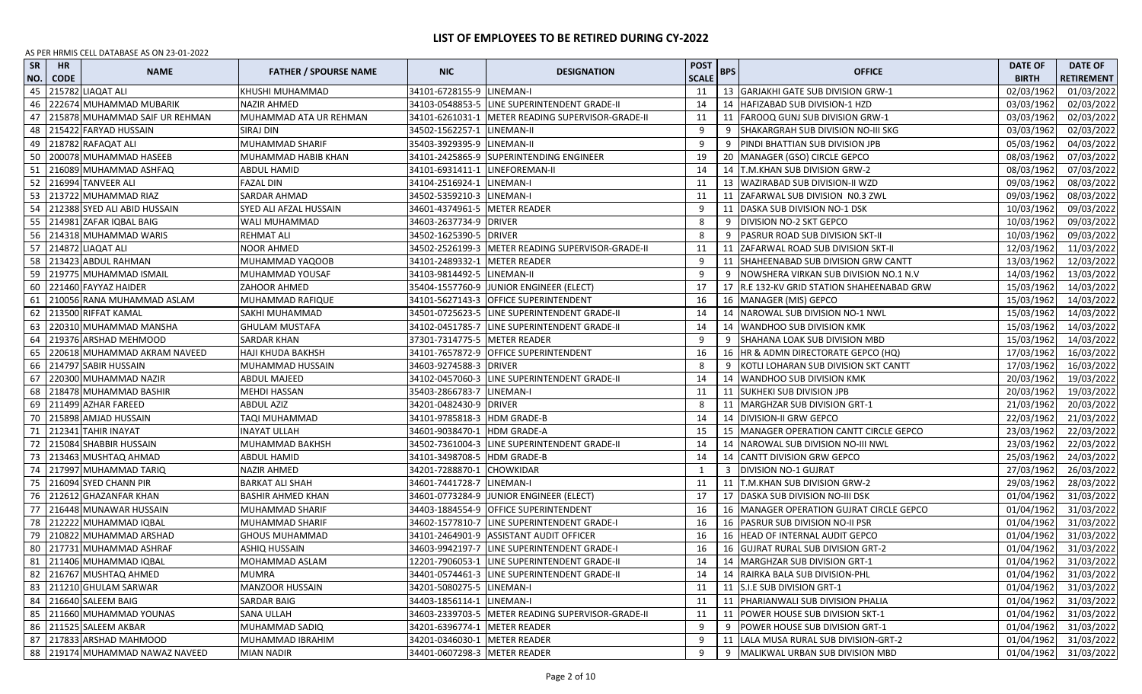| SR<br>NO. | <b>HR</b><br><b>CODE</b> | <b>NAME</b>                     | <b>FATHER / SPOURSE NAME</b> | <b>NIC</b>                     | <b>DESIGNATION</b>                                | <b>POST</b><br><b>SCALE</b> | <b>BPS</b> | <b>OFFICE</b>                              | <b>DATE OF</b><br><b>BIRTH</b> | <b>DATE OF</b><br><b>RETIREMENT</b> |
|-----------|--------------------------|---------------------------------|------------------------------|--------------------------------|---------------------------------------------------|-----------------------------|------------|--------------------------------------------|--------------------------------|-------------------------------------|
| 45        |                          | 215782 LIAQAT ALI               | KHUSHI MUHAMMAD              | 34101-6728155-9 LINEMAN-I      |                                                   | 11                          |            | 13 GARJAKHI GATE SUB DIVISION GRW-1        | 02/03/1962                     | 01/03/2022                          |
| 46        |                          | 222674 MUHAMMAD MUBARIK         | NAZIR AHMED                  | 34103-0548853-5                | LINE SUPERINTENDENT GRADE-II                      | 14                          |            | 14   HAFIZABAD SUB DIVISION-1 HZD          | 03/03/1962                     | 02/03/2022                          |
| 47        |                          | 215878 MUHAMMAD SAIF UR REHMAN  | MUHAMMAD ATA UR REHMAN       | 34101-6261031-1                | METER READING SUPERVISOR-GRADE-II                 | 11                          |            | 11 FAROOQ GUNJ SUB DIVISION GRW-1          | 03/03/1962                     | 02/03/2022                          |
| 48        |                          | 215422 FARYAD HUSSAIN           | SIRAJ DIN                    | 34502-1562257-1                | LINEMAN-II                                        | 9                           |            | SHAKARGRAH SUB DIVISION NO-III SKG         | 03/03/1962                     | 02/03/2022                          |
| 49        |                          | 218782 RAFAQAT ALI              | MUHAMMAD SHARIF              | 35403-3929395-9 LINEMAN-II     |                                                   | 9                           |            | PINDI BHATTIAN SUB DIVISION JPB            | 05/03/1962                     | 04/03/2022                          |
| 50        |                          | 200078 MUHAMMAD HASEEB          | MUHAMMAD HABIB KHAN          |                                | 34101-2425865-9 SUPERINTENDING ENGINEER           | 19                          |            | 20   MANAGER (GSO) CIRCLE GEPCO            | 08/03/1962                     | 07/03/2022                          |
| -51       |                          | 216089 MUHAMMAD ASHFAQ          | ABDUL HAMID                  | 34101-6931411-1 LINEFOREMAN-II |                                                   | 14                          |            | 14   T.M.KHAN SUB DIVISION GRW-2           | 08/03/1962                     | 07/03/2022                          |
| 52        |                          | 216994 TANVEER ALI              | <b>FAZAL DIN</b>             | 34104-2516924-1                | LINEMAN-I                                         | 11                          |            | 13   WAZIRABAD SUB DIVISION-II WZD         | 09/03/1962                     | 08/03/2022                          |
|           |                          | 53 213722 MUHAMMAD RIAZ         | SARDAR AHMAD                 | 34502-5359210-3                | LINEMAN-I                                         | 11                          |            | 11 ZAFARWAL SUB DIVISION NO.3 ZWL          | 09/03/1962                     | 08/03/2022                          |
| 54        |                          | 212388 SYED ALI ABID HUSSAIN    | SYED ALI AFZAL HUSSAIN       | 34601-4374961-5                | <b>METER READER</b>                               | 9                           | 11         | DASKA SUB DIVISION NO-1 DSK                | 10/03/1962                     | 09/03/2022                          |
|           |                          | 55 214981 ZAFAR IQBAL BAIG      | WALI MUHAMMAD                | 34603-2637734-9 DRIVER         |                                                   | 8                           | 9          | DIVISION NO-2 SKT GEPCO                    | 10/03/1962                     | 09/03/2022                          |
|           |                          | 56 214318 MUHAMMAD WARIS        | <b>REHMAT ALI</b>            | 34502-1625390-5 DRIVER         |                                                   | 8                           | -9         | PASRUR ROAD SUB DIVISION SKT-II            | 10/03/1962                     | 09/03/2022                          |
|           |                          | 57 214872 LIAQAT ALI            | <b>NOOR AHMED</b>            |                                | 34502-2526199-3 METER READING SUPERVISOR-GRADE-II | 11                          |            | 11 ZAFARWAL ROAD SUB DIVISION SKT-II       | 12/03/1962                     | 11/03/2022                          |
| 58        |                          | 213423 ABDUL RAHMAN             | MUHAMMAD YAQOOB              | 34101-2489332-1                | <b>METER READER</b>                               | 9                           | 11         | SHAHEENABAD SUB DIVISION GRW CANTT         | 13/03/1962                     | 12/03/2022                          |
| 59        |                          | 219775 MUHAMMAD ISMAIL          | MUHAMMAD YOUSAF              | 34103-9814492-5 LINEMAN-II     |                                                   | 9                           | -9         | NOWSHERA VIRKAN SUB DIVISION NO.1 N.V      | 14/03/1962                     | 13/03/2022                          |
| 60        |                          | 221460 FAYYAZ HAIDER            | <b>ZAHOOR AHMED</b>          |                                | 35404-1557760-9 JUNIOR ENGINEER (ELECT)           | 17                          |            | 17 R.E 132-KV GRID STATION SHAHEENABAD GRW | 15/03/1962                     | 14/03/2022                          |
| 61        |                          | 210056 RANA MUHAMMAD ASLAM      | MUHAMMAD RAFIQUE             |                                | 34101-5627143-3 OFFICE SUPERINTENDENT             | 16                          |            | 16 MANAGER (MIS) GEPCO                     | 15/03/1962                     | 14/03/2022                          |
| 62        |                          | 213500 RIFFAT KAMAL             | SAKHI MUHAMMAD               |                                | 34501-0725623-5 LINE SUPERINTENDENT GRADE-II      | 14                          |            | 14 NAROWAL SUB DIVISION NO-1 NWL           | 15/03/1962                     | 14/03/2022                          |
| 63        |                          | 220310 MUHAMMAD MANSHA          | <b>GHULAM MUSTAFA</b>        |                                | 34102-0451785-7 LINE SUPERINTENDENT GRADE-II      | 14                          |            | 14   WANDHOO SUB DIVISION KMK              | 15/03/1962                     | 14/03/2022                          |
| 64        |                          | 219376 ARSHAD MEHMOOD           | <b>SARDAR KHAN</b>           | 37301-7314775-5 METER READER   |                                                   | 9                           | 9          | SHAHANA LOAK SUB DIVISION MBD              | 15/03/1962                     | 14/03/2022                          |
| 65        |                          | 220618 MUHAMMAD AKRAM NAVEED    | <b>HAJI KHUDA BAKHSH</b>     |                                | 34101-7657872-9 OFFICE SUPERINTENDENT             | 16                          |            | 16   HR & ADMN DIRECTORATE GEPCO (HQ)      | 17/03/1962                     | 16/03/2022                          |
|           |                          | 66 214797 SABIR HUSSAIN         | MUHAMMAD HUSSAIN             | 34603-9274588-3 DRIVER         |                                                   | 8                           |            | 9 KOTLI LOHARAN SUB DIVISION SKT CANTT     | 17/03/1962                     | 16/03/2022                          |
| 67        |                          | 220300 MUHAMMAD NAZIR           | <b>ABDUL MAJEED</b>          | 34102-0457060-3                | LINE SUPERINTENDENT GRADE-II                      | 14                          |            | 14 WANDHOO SUB DIVISION KMK                | 20/03/1962                     | 19/03/2022                          |
| 68        |                          | 218478 MUHAMMAD BASHIR          | <b>MEHDI HASSAN</b>          | 35403-2866783-7                | LINEMAN-I                                         | 11                          |            | 11 SUKHEKI SUB DIVISION JPB                | 20/03/1962                     | 19/03/2022                          |
|           |                          | 69 211499 AZHAR FAREED          | <b>ABDUL AZIZ</b>            | 34201-0482430-9 DRIVER         |                                                   | 8                           |            | 11   MARGHZAR SUB DIVISION GRT-1           | 21/03/1962                     | 20/03/2022                          |
| 70        |                          | 215898 AMJAD HUSSAIN            | TAQI MUHAMMAD                | 34101-9785818-3                | <b>HDM GRADE-B</b>                                | 14                          |            | 14 DIVISION-II GRW GEPCO                   | 22/03/1962                     | 21/03/2022                          |
| 71        |                          | 212341 TAHIR INAYAT             | INAYAT ULLAH                 | 34601-9038470-1                | <b>HDM GRADE-A</b>                                | 15                          |            | 15   MANAGER OPERATION CANTT CIRCLE GEPCO  | 23/03/1962                     | 22/03/2022                          |
| 72        |                          | 215084 SHABBIR HUSSAIN          | MUHAMMAD BAKHSH              | 34502-7361004-3                | LINE SUPERINTENDENT GRADE-II                      | 14                          |            | 14 NAROWAL SUB DIVISION NO-III NWL         | 23/03/1962                     | 22/03/2022                          |
| 73        |                          | 213463 MUSHTAQ AHMAD            | <b>ABDUL HAMID</b>           | 34101-3498708-5                | <b>HDM GRADE-B</b>                                | 14                          |            | 14 CANTT DIVISION GRW GEPCO                | 25/03/1962                     | 24/03/2022                          |
| 74        |                          | 217997 MUHAMMAD TARIQ           | NAZIR AHMED                  | 34201-7288870-1                | <b>CHOWKIDAR</b>                                  | 1                           |            | <b>DIVISION NO-1 GUJRAT</b>                | 27/03/1962                     | 26/03/2022                          |
| 75        |                          | 216094 SYED CHANN PIR           | BARKAT ALI SHAH              | 34601-7441728-7                | LINEMAN-I                                         | 11                          |            | 11   T.M.KHAN SUB DIVISION GRW-2           | 29/03/1962                     | 28/03/2022                          |
| 76        |                          | 212612 GHAZANFAR KHAN           | <b>BASHIR AHMED KHAN</b>     | 34601-0773284-9                | JUNIOR ENGINEER (ELECT)                           | 17                          |            | 17   DASKA SUB DIVISION NO-III DSK         | 01/04/1962                     | 31/03/2022                          |
| 77        |                          | 216448 MUNAWAR HUSSAIN          | MUHAMMAD SHARIF              |                                | 34403-1884554-9 OFFICE SUPERINTENDENT             | 16                          |            | 16   MANAGER OPERATION GUJRAT CIRCLE GEPCO | 01/04/1962                     | 31/03/2022                          |
|           |                          | 78 212222 MUHAMMAD IQBAL        | MUHAMMAD SHARIF              | 34602-1577810-7                | LINE SUPERINTENDENT GRADE-I                       | 16                          |            | 16 PASRUR SUB DIVISION NO-II PSR           | 01/04/1962                     | 31/03/2022                          |
| 79        |                          | 210822 MUHAMMAD ARSHAD          | <b>GHOUS MUHAMMAD</b>        | 34101-2464901-9                | <b>ASSISTANT AUDIT OFFICER</b>                    | 16                          |            | 16 HEAD OF INTERNAL AUDIT GEPCO            | 01/04/1962                     | 31/03/2022                          |
|           |                          | 80 217731 MUHAMMAD ASHRAF       | <b>ASHIQ HUSSAIN</b>         | 34603-9942197-7                | LINE SUPERINTENDENT GRADE-I                       | 16                          |            | 16 GUJRAT RURAL SUB DIVISION GRT-2         | 01/04/1962                     | 31/03/2022                          |
|           |                          | 81 211406 MUHAMMAD IQBAL        | MOHAMMAD ASLAM               |                                | 12201-7906053-1 LINE SUPERINTENDENT GRADE-II      | 14                          |            | 14   MARGHZAR SUB DIVISION GRT-1           | 01/04/1962                     | 31/03/2022                          |
|           |                          | 82 216767 MUSHTAQ AHMED         | <b>MUMRA</b>                 |                                | 34401-0574461-3 LINE SUPERINTENDENT GRADE-II      | 14                          |            | 14   RAIRKA BALA SUB DIVISION-PHL          | 01/04/1962                     | 31/03/2022                          |
|           |                          | 83 211210 GHULAM SARWAR         | <b>MANZOOR HUSSAIN</b>       | 34201-5080275-5 LINEMAN-I      |                                                   | 11                          |            | 11 S.I.E SUB DIVISION GRT-1                | 01/04/1962                     | 31/03/2022                          |
|           |                          | 84 216640 SALEEM BAIG           | <b>SARDAR BAIG</b>           | 34403-1856114-1 LINEMAN-I      |                                                   | 11                          |            | 11 PHARIANWALI SUB DIVISION PHALIA         | 01/04/1962                     | 31/03/2022                          |
|           |                          | 85 211660 MUHAMMAD YOUNAS       | <b>SANA ULLAH</b>            |                                | 34603-2339703-5 METER READING SUPERVISOR-GRADE-II | 11                          |            | 11 POWER HOUSE SUB DIVISION SKT-1          | 01/04/1962                     | 31/03/2022                          |
|           |                          | 86 211525 SALEEM AKBAR          | MUHAMMAD SADIQ               | 34201-6396774-1 METER READER   |                                                   | 9                           | 9          | POWER HOUSE SUB DIVISION GRT-1             | 01/04/1962                     | 31/03/2022                          |
|           |                          | 87 217833 ARSHAD MAHMOOD        | MUHAMMAD IBRAHIM             | 34201-0346030-1 METER READER   |                                                   | 9                           |            | 11   LALA MUSA RURAL SUB DIVISION-GRT-2    | 01/04/1962                     | 31/03/2022                          |
|           |                          | 88 219174 MUHAMMAD NAWAZ NAVEED | <b>MIAN NADIR</b>            | 34401-0607298-3 METER READER   |                                                   | 9                           | 9          | MALIKWAL URBAN SUB DIVISION MBD            | 01/04/1962                     | 31/03/2022                          |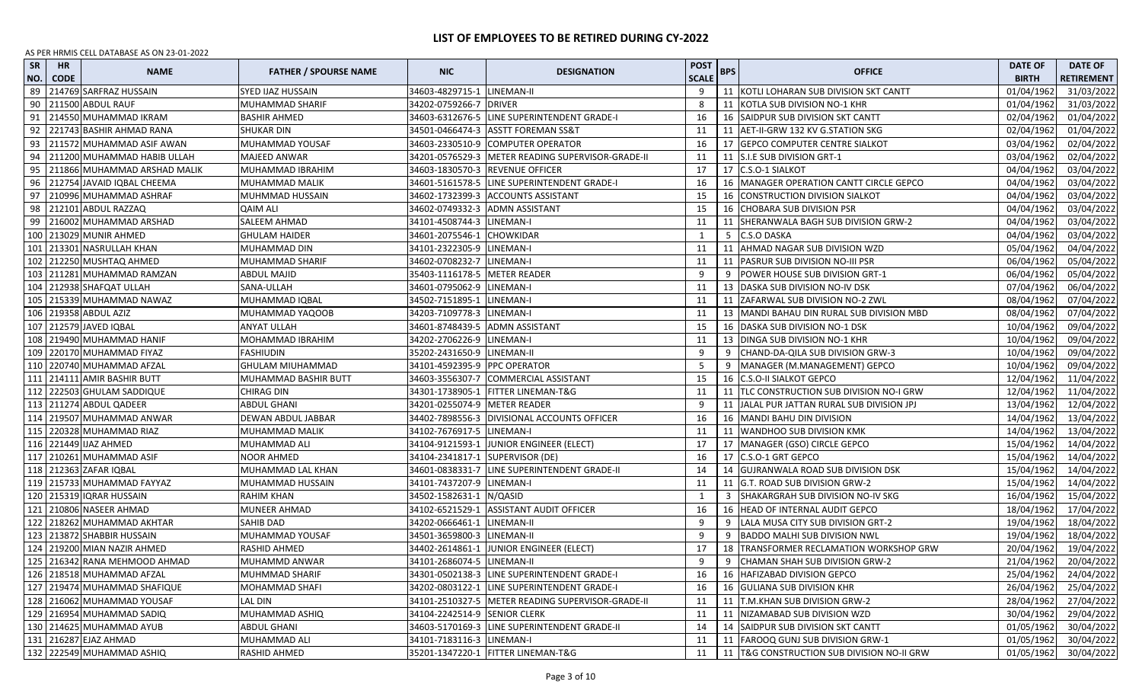| <b>SR</b><br>NO. | <b>HR</b><br><b>CODE</b> | <b>NAME</b>                     | <b>FATHER / SPOURSE NAME</b> | <b>NIC</b>                      | <b>DESIGNATION</b>                                | <b>POST</b><br><b>SCALE</b> | <b>BPS</b> | <b>OFFICE</b>                                | <b>DATE OF</b><br><b>BIRTH</b> | <b>DATE OF</b><br><b>RETIREMENT</b> |
|------------------|--------------------------|---------------------------------|------------------------------|---------------------------------|---------------------------------------------------|-----------------------------|------------|----------------------------------------------|--------------------------------|-------------------------------------|
| 89               |                          | 214769 SARFRAZ HUSSAIN          | SYED IJAZ HUSSAIN            | 34603-4829715-1 LINEMAN-II      |                                                   | 9                           |            | 11 KOTLI LOHARAN SUB DIVISION SKT CANTT      | 01/04/1962                     | 31/03/2022                          |
| 90               |                          | 211500 ABDUL RAUF               | MUHAMMAD SHARIF              | 34202-0759266-7 DRIVER          |                                                   | 8                           |            | 11 KOTLA SUB DIVISION NO-1 KHR               | 01/04/1962                     | 31/03/2022                          |
| 91               |                          | 214550 MUHAMMAD IKRAM           | <b>BASHIR AHMED</b>          |                                 | 34603-6312676-5 LINE SUPERINTENDENT GRADE-I       | 16                          |            | 16 SAIDPUR SUB DIVISION SKT CANTT            | 02/04/1962                     | 01/04/2022                          |
| 92               |                          | 221743 BASHIR AHMAD RANA        | <b>SHUKAR DIN</b>            |                                 | 34501-0466474-3 ASSTT FOREMAN SS&T                | 11                          |            | 11 AET-II-GRW 132 KV G.STATION SKG           | 02/04/1962                     | 01/04/2022                          |
| 93               |                          | 211572 MUHAMMAD ASIF AWAN       | MUHAMMAD YOUSAF              |                                 | 34603-2330510-9 COMPUTER OPERATOR                 | 16                          |            | 17 GEPCO COMPUTER CENTRE SIALKOT             | 03/04/1962                     | 02/04/2022                          |
| 94               |                          | 211200 MUHAMMAD HABIB ULLAH     | MAJEED ANWAR                 |                                 | 34201-0576529-3 METER READING SUPERVISOR-GRADE-II | 11                          |            | 11 S.I.E SUB DIVISION GRT-1                  | 03/04/1962                     | 02/04/2022                          |
| 95               |                          | 211866 MUHAMMAD ARSHAD MALIK    | MUHAMMAD IBRAHIM             |                                 | 34603-1830570-3 REVENUE OFFICER                   | 17                          |            | 17 C.S.O-1 SIALKOT                           | 04/04/1962                     | 03/04/2022                          |
| 96               |                          | 212754 JAVAID IQBAL CHEEMA      | MUHAMMAD MALIK               |                                 | 34601-5161578-5 LINE SUPERINTENDENT GRADE-I       | 16                          |            | 16 MANAGER OPERATION CANTT CIRCLE GEPCO      | 04/04/1962                     | 03/04/2022                          |
| 97               |                          | 210996 MUHAMMAD ASHRAF          | MUHMMAD HUSSAIN              |                                 | 34602-1732399-3 ACCOUNTS ASSISTANT                | 15                          |            | <b>16 CONSTRUCTION DIVISION SIALKOT</b>      | 04/04/1962                     | 03/04/2022                          |
| 98               |                          | 212101 ABDUL RAZZAQ             | QAIM ALI                     | 34602-0749332-3 ADMN ASSISTANT  |                                                   | 15                          |            | 16 CHOBARA SUB DIVISION PSR                  | 04/04/1962                     | 03/04/2022                          |
| 99               |                          | 216002 MUHAMMAD ARSHAD          | SALEEM AHMAD                 | 34101-4508744-3 LINEMAN-I       |                                                   | 11                          |            | 11 SHERANWALA BAGH SUB DIVISION GRW-2        | 04/04/1962                     | 03/04/2022                          |
| 100              |                          | 213029 MUNIR AHMED              | <b>GHULAM HAIDER</b>         | 34601-2075546-1 CHOWKIDAR       |                                                   | 1                           |            | 5 C.S.O DASKA                                | 04/04/1962                     | 03/04/2022                          |
| 101              |                          | 213301 NASRULLAH KHAN           | MUHAMMAD DIN                 | 34101-2322305-9 LINEMAN-I       |                                                   | 11                          |            | 11   AHMAD NAGAR SUB DIVISION WZD            | 05/04/1962                     | 04/04/2022                          |
| 102              |                          | 212250 MUSHTAQ AHMED            | MUHAMMAD SHARIF              | 34602-0708232-7 LINEMAN-I       |                                                   | 11                          |            | 11 PASRUR SUB DIVISION NO-III PSR            | 06/04/1962                     | 05/04/2022                          |
| 103              |                          | 211281 MUHAMMAD RAMZAN          | ABDUL MAJID                  | 35403-1116178-5 METER READER    |                                                   | -9                          |            | 9   POWER HOUSE SUB DIVISION GRT-1           | 06/04/1962                     | 05/04/2022                          |
| 104              |                          | 212938 SHAFQAT ULLAH            | SANA-ULLAH                   | 34601-0795062-9 LINEMAN-I       |                                                   | 11                          |            | 13 DASKA SUB DIVISION NO-IV DSK              | 07/04/1962                     | 06/04/2022                          |
| 105              |                          | 215339 MUHAMMAD NAWAZ           | MUHAMMAD IQBAL               | 34502-7151895-1 LINEMAN-I       |                                                   | 11                          |            | 11 ZAFARWAL SUB DIVISION NO-2 ZWL            | 08/04/1962                     | 07/04/2022                          |
| 106              |                          | 219358 ABDUL AZIZ               | MUHAMMAD YAQOOB              | 34203-7109778-3 LINEMAN-I       |                                                   | 11                          |            | 13   MANDI BAHAU DIN RURAL SUB DIVISION MBD  | 08/04/1962                     | 07/04/2022                          |
|                  |                          | 107 212579 JAVED IQBAL          | ANYAT ULLAH                  |                                 | 34601-8748439-5 ADMN ASSISTANT                    | 15                          |            | 16   DASKA SUB DIVISION NO-1 DSK             | 10/04/1962                     | 09/04/2022                          |
| 108              |                          | 219490 MUHAMMAD HANIF           | MOHAMMAD IBRAHIM             | 34202-2706226-9 LINEMAN-I       |                                                   | 11                          |            | 13 DINGA SUB DIVISION NO-1 KHR               | 10/04/1962                     | 09/04/2022                          |
| 109              |                          | 220170 MUHAMMAD FIYAZ           | <b>FASHIUDIN</b>             | 35202-2431650-9 LINEMAN-II      |                                                   | 9                           |            | 9 CHAND-DA-QILA SUB DIVISION GRW-3           | 10/04/1962                     | 09/04/2022                          |
|                  |                          | 110 220740 MUHAMMAD AFZAL       | GHULAM MIUHAMMAD             | 34101-4592395-9 PPC OPERATOR    |                                                   | 5                           |            | 9   MANAGER (M.MANAGEMENT) GEPCO             | 10/04/1962                     | 09/04/2022                          |
|                  |                          | 111 214111 AMIR BASHIR BUTT     | MUHAMMAD BASHIR BUTT         |                                 | 34603-3556307-7 COMMERCIAL ASSISTANT              | 15                          |            | 16 C.S.O-II SIALKOT GEPCO                    | 12/04/1962                     | 11/04/2022                          |
|                  |                          | 112 222503 GHULAM SADDIQUE      | CHIRAG DIN                   |                                 | 34301-1738905-1 FITTER LINEMAN-T&G                | 11                          |            | 11   TLC CONSTRUCTION SUB DIVISION NO-I GRW  | 12/04/1962                     | 11/04/2022                          |
|                  |                          | 113 211274 ABDUL QADEER         | <b>ABDUL GHANI</b>           | 34201-0255074-9 METER READER    |                                                   | 9                           |            | 11 JALAL PUR JATTAN RURAL SUB DIVISION JPJ   | 13/04/1962                     | 12/04/2022                          |
| 114              |                          | 219507 MUHAMMAD ANWAR           | DEWAN ABDUL JABBAR           |                                 | 34402-7898556-3 DIVISIONAL ACCOUNTS OFFICER       | 16                          |            | 16   MANDI BAHU DIN DIVISION                 | 14/04/1962                     | 13/04/2022                          |
| 115              |                          | 220328 MUHAMMAD RIAZ            | MUHAMMAD MALIK               | 34102-7676917-5 LINEMAN-I       |                                                   | 11                          |            | 11 WANDHOO SUB DIVISION KMK                  | 14/04/1962                     | 13/04/2022                          |
| 116              |                          | 221449 IJAZ AHMED               | MUHAMMAD ALI                 |                                 | 34104-9121593-1 JUNIOR ENGINEER (ELECT)           | 17                          |            | 17   MANAGER (GSO) CIRCLE GEPCO              | 15/04/1962                     | 14/04/2022                          |
| 117              |                          | 210261 MUHAMMAD ASIF            | NOOR AHMED                   | 34104-2341817-1 SUPERVISOR (DE) |                                                   | 16                          |            | 17 C.S.O-1 GRT GEPCO                         | 15/04/1962                     | 14/04/2022                          |
| 118              |                          | 212363 ZAFAR IQBAL              | MUHAMMAD LAL KHAN            |                                 | 34601-0838331-7 LINE SUPERINTENDENT GRADE-II      | 14                          |            | 14 GUJRANWALA ROAD SUB DIVISION DSK          | 15/04/1962                     | 14/04/2022                          |
|                  |                          | 119 215733 MUHAMMAD FAYYAZ      | MUHAMMAD HUSSAIN             | 34101-7437207-9 LINEMAN-I       |                                                   | 11                          |            | 11 G.T. ROAD SUB DIVISION GRW-2              | 15/04/1962                     | 14/04/2022                          |
|                  |                          | 120 215319 IQRAR HUSSAIN        | <b>RAHIM KHAN</b>            | 34502-1582631-1 N/QASID         |                                                   | 1                           | 3          | SHAKARGRAH SUB DIVISION NO-IV SKG            | 16/04/1962                     | 15/04/2022                          |
| 121              |                          | 210806 NASEER AHMAD             | MUNEER AHMAD                 |                                 | 34102-6521529-1 ASSISTANT AUDIT OFFICER           | 16                          |            | 16 HEAD OF INTERNAL AUDIT GEPCO              | 18/04/1962                     | 17/04/2022                          |
| 122              |                          | 218262 MUHAMMAD AKHTAR          | SAHIB DAD                    | 34202-0666461-1 LINEMAN-II      |                                                   | 9                           |            | 9   LALA MUSA CITY SUB DIVISION GRT-2        | 19/04/1962                     | 18/04/2022                          |
|                  |                          | 123 213872 SHABBIR HUSSAIN      | MUHAMMAD YOUSAF              | 34501-3659800-3 LINEMAN-II      |                                                   | 9                           |            | 9 BADDO MALHI SUB DIVISION NWL               | 19/04/1962                     | 18/04/2022                          |
|                  |                          | 124 219200 MIAN NAZIR AHMED     | RASHID AHMED                 |                                 | 34402-2614861-1 JUNIOR ENGINEER (ELECT)           | 17                          |            | 18   TRANSFORMER RECLAMATION WORKSHOP GRW    | 20/04/1962                     | 19/04/2022                          |
|                  |                          | 125   216342 RANA MEHMOOD AHMAD | MUHAMMD ANWAR                | 34101-2686074-5 LINEMAN-II      |                                                   | 9                           |            | 9 CHAMAN SHAH SUB DIVISION GRW-2             | 21/04/1962                     | 20/04/2022                          |
|                  |                          | 126 218518 MUHAMMAD AFZAL       | <b>MUHMMAD SHARIF</b>        |                                 | 34301-0502138-3 LINE SUPERINTENDENT GRADE-I       | 16                          |            | 16   HAFIZABAD DIVISION GEPCO                | 25/04/1962                     | 24/04/2022                          |
|                  |                          | 127 219474 MUHAMMAD SHAFIQUE    | MOHAMMAD SHAFI               |                                 | 34202-0803122-1 LINE SUPERINTENDENT GRADE-I       | 16                          |            | 16 GULIANA SUB DIVISION KHR                  | 26/04/1962                     | 25/04/2022                          |
|                  |                          | 128 216062 MUHAMMAD YOUSAF      | <b>LAL DIN</b>               |                                 | 34101-2510327-5 METER READING SUPERVISOR-GRADE-II | 11                          |            | 11 T.M.KHAN SUB DIVISION GRW-2               | 28/04/1962                     | 27/04/2022                          |
|                  |                          | 129 216954 MUHAMMAD SADIQ       | MUHAMMAD ASHIQ               | 34104-2242514-9 SENIOR CLERK    |                                                   | 11                          |            | 11 NIZAMABAD SUB DIVISION WZD                | 30/04/1962                     | 29/04/2022                          |
|                  |                          | 130 214625 MUHAMMAD AYUB        | ABDUL GHANI                  |                                 | 34603-5170169-3 LINE SUPERINTENDENT GRADE-II      | 14                          |            | 14 SAIDPUR SUB DIVISION SKT CANTT            | 01/05/1962                     | 30/04/2022                          |
|                  |                          | 131 216287 EJAZ AHMAD           | MUHAMMAD ALI                 | 34101-7183116-3 LINEMAN-I       |                                                   | 11                          |            | 11 FAROOQ GUNJ SUB DIVISION GRW-1            | 01/05/1962                     | 30/04/2022                          |
|                  |                          | 132 222549 MUHAMMAD ASHIQ       | RASHID AHMED                 |                                 | 35201-1347220-1 FITTER LINEMAN-T&G                | 11                          |            | 11   T&G CONSTRUCTION SUB DIVISION NO-II GRW | 01/05/1962                     | 30/04/2022                          |
|                  |                          |                                 |                              |                                 |                                                   |                             |            |                                              |                                |                                     |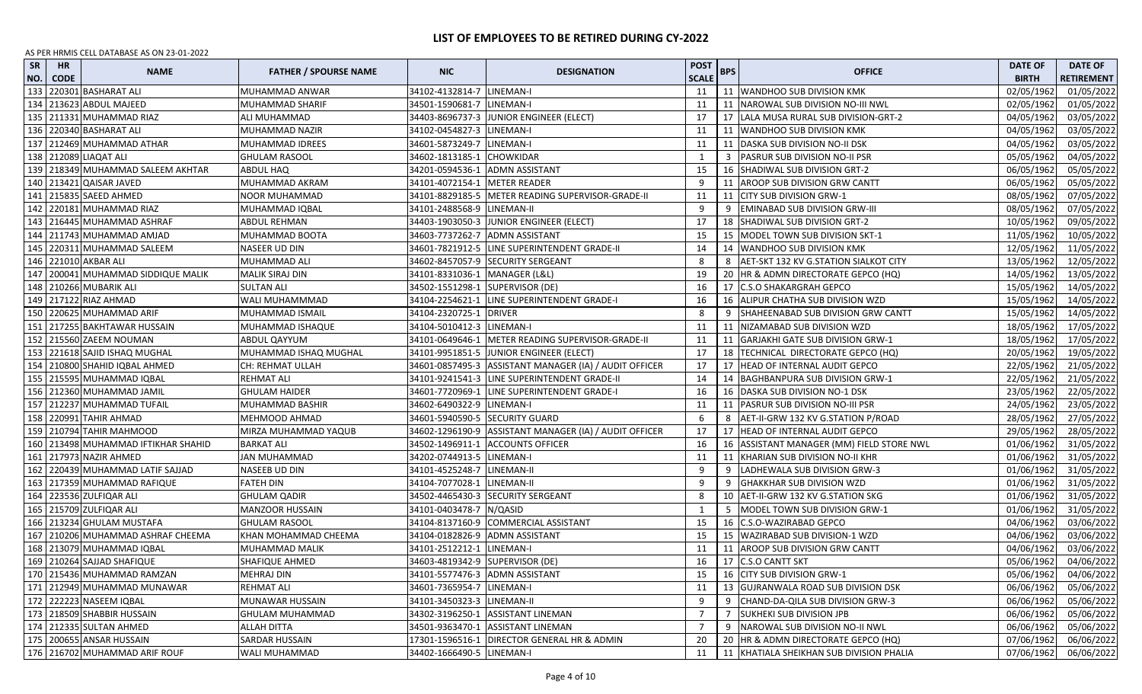| <b>SR</b><br>NO. | <b>HR</b><br><b>CODE</b> | <b>NAME</b>                           | <b>FATHER / SPOURSE NAME</b> | <b>NIC</b>                      | <b>DESIGNATION</b>                                     | <b>POST</b><br><b>SCALE</b> | <b>BPS</b> | <b>OFFICE</b>                             | <b>DATE OF</b><br><b>BIRTH</b> | <b>DATE OF</b><br><b>RETIREMENT</b> |
|------------------|--------------------------|---------------------------------------|------------------------------|---------------------------------|--------------------------------------------------------|-----------------------------|------------|-------------------------------------------|--------------------------------|-------------------------------------|
| 133              |                          | 220301 BASHARAT ALI                   | MUHAMMAD ANWAR               | 34102-4132814-7                 | LINEMAN-I                                              | 11                          |            | 11   WANDHOO SUB DIVISION KMK             | 02/05/1962                     | 01/05/2022                          |
| 134              |                          | 213623 ABDUL MAJEED                   | MUHAMMAD SHARIF              | 34501-1590681-7 LINEMAN-I       |                                                        | 11                          |            | 11 NAROWAL SUB DIVISION NO-III NWL        | 02/05/1962                     | 01/05/2022                          |
| 135              |                          | 211331 MUHAMMAD RIAZ                  | ALI MUHAMMAD                 |                                 | 34403-8696737-3 JUNIOR ENGINEER (ELECT)                | 17                          |            | 17   LALA MUSA RURAL SUB DIVISION-GRT-2   | 04/05/1962                     | 03/05/2022                          |
| 136              |                          | 220340 BASHARAT ALI                   | MUHAMMAD NAZIR               | 34102-0454827-3 LINEMAN-I       |                                                        | 11                          |            | 11 WANDHOO SUB DIVISION KMK               | 04/05/1962                     | 03/05/2022                          |
| 137              |                          | 212469 MUHAMMAD ATHAR                 | MUHAMMAD IDREES              | 34601-5873249-7 LINEMAN-I       |                                                        | 11                          |            | 11   DASKA SUB DIVISION NO-II DSK         | 04/05/1962                     | 03/05/2022                          |
| 138              |                          | 212089 LIAQAT ALI                     | GHULAM RASOOL                | 34602-1813185-1 CHOWKIDAR       |                                                        | 1                           | 3          | <b>PASRUR SUB DIVISION NO-II PSR</b>      | 05/05/1962                     | 04/05/2022                          |
| 139              |                          | 218349 MUHAMMAD SALEEM AKHTAR         | ABDUL HAQ                    |                                 | 34201-0594536-1 ADMN ASSISTANT                         | 15                          |            | 16   SHADIWAL SUB DIVISION GRT-2          | 06/05/1962                     | 05/05/2022                          |
|                  |                          | 140 213421 QAISAR JAVED               | MUHAMMAD AKRAM               | 34101-4072154-1 METER READER    |                                                        | 9                           |            | 11 AROOP SUB DIVISION GRW CANTT           | 06/05/1962                     | 05/05/2022                          |
|                  |                          | 141 215835 SAEED AHMED                | NOOR MUHAMMAD                |                                 | 34101-8829185-5 METER READING SUPERVISOR-GRADE-II      | 11                          |            | 11 CITY SUB DIVISION GRW-1                | 08/05/1962                     | 07/05/2022                          |
| 142              |                          | 220181 MUHAMMAD RIAZ                  | MUHAMMAD IQBAL               | 34101-2488568-9 LINEMAN-II      |                                                        | 9                           |            | 9 EMINABAD SUB DIVISION GRW-III           | 08/05/1962                     | 07/05/2022                          |
|                  |                          | 143   216445 MUHAMMAD ASHRAF          | <b>ABDUL REHMAN</b>          |                                 | 34403-1903050-3 JJUNIOR ENGINEER (ELECT)               | 17                          |            | 18   SHADIWAL SUB DIVISION GRT-2          | 10/05/1962                     | 09/05/2022                          |
|                  |                          | 144   211743 MUHAMMAD AMJAD           | MUHAMMAD BOOTA               |                                 | 34603-7737262-7 ADMN ASSISTANT                         | 15                          |            | 15   MODEL TOWN SUB DIVISION SKT-1        | 11/05/1962                     | 10/05/2022                          |
|                  |                          | 145   220311 MUHAMMAD SALEEM          | NASEER UD DIN                |                                 | 34601-7821912-5 LINE SUPERINTENDENT GRADE-II           | 14                          |            | 14 WANDHOO SUB DIVISION KMK               | 12/05/1962                     | 11/05/2022                          |
|                  |                          | 146 221010 AKBAR ALI                  | MUHAMMAD ALI                 |                                 | 34602-8457057-9 SECURITY SERGEANT                      | 8                           |            | 8   AET-SKT 132 KV G.STATION SIALKOT CITY | 13/05/1962                     | 12/05/2022                          |
|                  |                          | 147   200041 MUHAMMAD SIDDIQUE MALIK  | <b>MALIK SIRAJ DIN</b>       | 34101-8331036-1   MANAGER (L&L) |                                                        | 19                          |            | 20   HR & ADMN DIRECTORATE GEPCO (HQ)     | 14/05/1962                     | 13/05/2022                          |
| 148              |                          | 210266 MUBARIK ALI                    | <b>SULTAN ALI</b>            | 34502-1551298-1 SUPERVISOR (DE) |                                                        | 16                          |            | 17 C.S.O SHAKARGRAH GEPCO                 | 15/05/1962                     | 14/05/2022                          |
| 149              |                          | 217122 RIAZ AHMAD                     | WALI MUHAMMMAD               |                                 | 34104-2254621-1 LINE SUPERINTENDENT GRADE-I            | 16                          |            | 16 ALIPUR CHATHA SUB DIVISION WZD         | 15/05/1962                     | 14/05/2022                          |
| 150              |                          | 220625 MUHAMMAD ARIF                  | MUHAMMAD ISMAIL              | 34104-2320725-1 DRIVER          |                                                        | 8                           | 9          | SHAHEENABAD SUB DIVISION GRW CANTT        | 15/05/1962                     | 14/05/2022                          |
| 151              |                          | 217255 BAKHTAWAR HUSSAIN              | MUHAMMAD ISHAQUE             | 34104-5010412-3   LINEMAN-I     |                                                        | 11                          |            | 11   NIZAMABAD SUB DIVISION WZD           | 18/05/1962                     | 17/05/2022                          |
| 152              |                          | 215560 ZAEEM NOUMAN                   | ABDUL QAYYUM                 |                                 | 34101-0649646-1 METER READING SUPERVISOR-GRADE-II      | 11                          |            | 11 GARJAKHI GATE SUB DIVISION GRW-1       | 18/05/1962                     | 17/05/2022                          |
| 153              |                          | 221618 SAJID ISHAQ MUGHAL             | MUHAMMAD ISHAQ MUGHAL        |                                 | 34101-9951851-5 JUNIOR ENGINEER (ELECT)                | 17                          |            | 18  TECHNICAL DIRECTORATE GEPCO (HQ)      | 20/05/1962                     | 19/05/2022                          |
|                  |                          | 154 210800 SHAHID IQBAL AHMED         | CH: REHMAT ULLAH             |                                 | 34601-0857495-3 ASSISTANT MANAGER (IA) / AUDIT OFFICER | 17                          |            | 17 HEAD OF INTERNAL AUDIT GEPCO           | 22/05/1962                     | 21/05/2022                          |
|                  |                          | 155 215595 MUHAMMAD IQBAL             | REHMAT ALI                   |                                 | 34101-9241541-3 LINE SUPERINTENDENT GRADE-II           | 14                          |            | 14 BAGHBANPURA SUB DIVISION GRW-1         | 22/05/1962                     | 21/05/2022                          |
|                  |                          | 156   212360 MUHAMMAD JAMIL           | <b>GHULAM HAIDER</b>         |                                 | 34601-7720969-1 LINE SUPERINTENDENT GRADE-I            | 16                          |            | 16 DASKA SUB DIVISION NO-1 DSK            | 23/05/1962                     | 22/05/2022                          |
|                  |                          | 157   212237 MUHAMMAD TUFAIL          | MUHAMMAD BASHIR              | 34602-6490322-9 LINEMAN-I       |                                                        | 11                          |            | 11   PASRUR SUB DIVISION NO-III PSR       | 24/05/1962                     | 23/05/2022                          |
|                  |                          | 158 220991 TAHIR AHMAD                | MEHMOOD AHMAD                | 34601-5940590-5 SECURITY GUARD  |                                                        | 6                           | 8          | AET-II-GRW 132 KV G.STATION P/ROAD        | 28/05/1962                     | 27/05/2022                          |
| 159              |                          | 210794 TAHIR MAHMOOD                  | MIRZA MUHAMMAD YAQUB         |                                 | 34602-1296190-9 ASSISTANT MANAGER (IA) / AUDIT OFFICER | 17                          |            | 17 HEAD OF INTERNAL AUDIT GEPCO           | 29/05/1962                     | 28/05/2022                          |
|                  |                          | 160   213498 MUHAMMAD IFTIKHAR SHAHID | <b>BARKAT ALI</b>            |                                 | 34502-1496911-1 ACCOUNTS OFFICER                       | 16                          |            | 16 ASSISTANT MANAGER (MM) FIELD STORE NWL | 01/06/1962                     | 31/05/2022                          |
| 161              |                          | 217973 NAZIR AHMED                    | JAN MUHAMMAD                 | 34202-0744913-5 LINEMAN-I       |                                                        | 11                          | 11         | KHARIAN SUB DIVISION NO-II KHR            | 01/06/1962                     | 31/05/2022                          |
| 162              |                          | 220439 MUHAMMAD LATIF SAJJAD          | NASEEB UD DIN                | 34101-4525248-7 LINEMAN-II      |                                                        | 9                           | 9          | LADHEWALA SUB DIVISION GRW-3              | 01/06/1962                     | 31/05/2022                          |
| 163              |                          | 217359 MUHAMMAD RAFIQUE               | FATEH DIN                    | 34104-7077028-1 LINEMAN-II      |                                                        | 9                           | 9          | <b>GHAKKHAR SUB DIVISION WZD</b>          | 01/06/1962                     | 31/05/2022                          |
| 164              |                          | 223536 ZULFIQAR ALI                   | GHULAM QADIR                 |                                 | 34502-4465430-3 SECURITY SERGEANT                      | 8                           |            | 10   AET-II-GRW 132 KV G.STATION SKG      | 01/06/1962                     | 31/05/2022                          |
| 165              |                          | 215709 ZULFIQAR ALI                   | <b>MANZOOR HUSSAIN</b>       | 34101-0403478-7 N/QASID         |                                                        | 1                           | -5         | MODEL TOWN SUB DIVISION GRW-1             | 01/06/1962                     | 31/05/2022                          |
| 166              |                          | 213234 GHULAM MUSTAFA                 | <b>GHULAM RASOOL</b>         | 34104-8137160-9                 | <b>COMMERCIAL ASSISTANT</b>                            | 15                          |            | 16 C.S.O-WAZIRABAD GEPCO                  | 04/06/1962                     | 03/06/2022                          |
| 167              |                          | 210206 MUHAMMAD ASHRAF CHEEMA         | KHAN MOHAMMAD CHEEMA         | 34104-0182826-9                 | <b>ADMN ASSISTANT</b>                                  | 15                          |            | 15 WAZIRABAD SUB DIVISION-1 WZD           | 04/06/1962                     | 03/06/2022                          |
|                  |                          | 168 213079 MUHAMMAD IQBAL             | MUHAMMAD MALIK               | 34101-2512212-1 LINEMAN-I       |                                                        | 11                          |            | 11 AROOP SUB DIVISION GRW CANTT           | 04/06/1962                     | 03/06/2022                          |
|                  |                          | 169 210264 SAJJAD SHAFIQUE            | <b>SHAFIQUE AHMED</b>        | 34603-4819342-9 SUPERVISOR (DE) |                                                        | 16                          |            | 17 C.S.O CANTT SKT                        | 05/06/1962                     | 04/06/2022                          |
|                  |                          | 170 215436 MUHAMMAD RAMZAN            | <b>MEHRAJ DIN</b>            |                                 | 34101-5577476-3 ADMN ASSISTANT                         | 15                          |            | 16 CITY SUB DIVISION GRW-1                | 05/06/1962                     | 04/06/2022                          |
|                  |                          | 171 212949 MUHAMMAD MUNAWAR           | <b>REHMAT ALI</b>            | 34601-7365954-7 LINEMAN-I       |                                                        | 11                          |            | 13 GUJRANWALA ROAD SUB DIVISION DSK       | 06/06/1962                     | 05/06/2022                          |
|                  |                          | 172 222223 NASEEM IQBAL               | MUNAWAR HUSSAIN              | 34101-3450323-3 LINEMAN-II      |                                                        | 9                           |            | 9 CHAND-DA-QILA SUB DIVISION GRW-3        | 06/06/1962                     | 05/06/2022                          |
|                  |                          | 173 218509 SHABBIR HUSSAIN            | GHULAM MUHAMMAD              |                                 | 34302-3196250-1 ASSISTANT LINEMAN                      | $\overline{7}$              |            | <b>SUKHEKI SUB DIVISION JPB</b>           | 06/06/1962                     | 05/06/2022                          |
|                  |                          | 174 212335 SULTAN AHMED               | ALLAH DITTA                  |                                 | 34501-9363470-1 ASSISTANT LINEMAN                      | 7                           |            | 9 NAROWAL SUB DIVISION NO-II NWL          | 06/06/1962                     | 05/06/2022                          |
|                  |                          | 175 200655 ANSAR HUSSAIN              | SARDAR HUSSAIN               |                                 | 17301-1596516-1   DIRECTOR GENERAL HR & ADMIN          | 20                          |            | 20 HR & ADMN DIRECTORATE GEPCO (HQ)       | 07/06/1962                     | 06/06/2022                          |
|                  |                          | 176 216702 MUHAMMAD ARIF ROUF         | WALI MUHAMMAD                | 34402-1666490-5 LINEMAN-I       |                                                        | 11                          |            | 11 KHATIALA SHEIKHAN SUB DIVISION PHALIA  | 07/06/1962                     | 06/06/2022                          |
|                  |                          |                                       |                              |                                 |                                                        |                             |            |                                           |                                |                                     |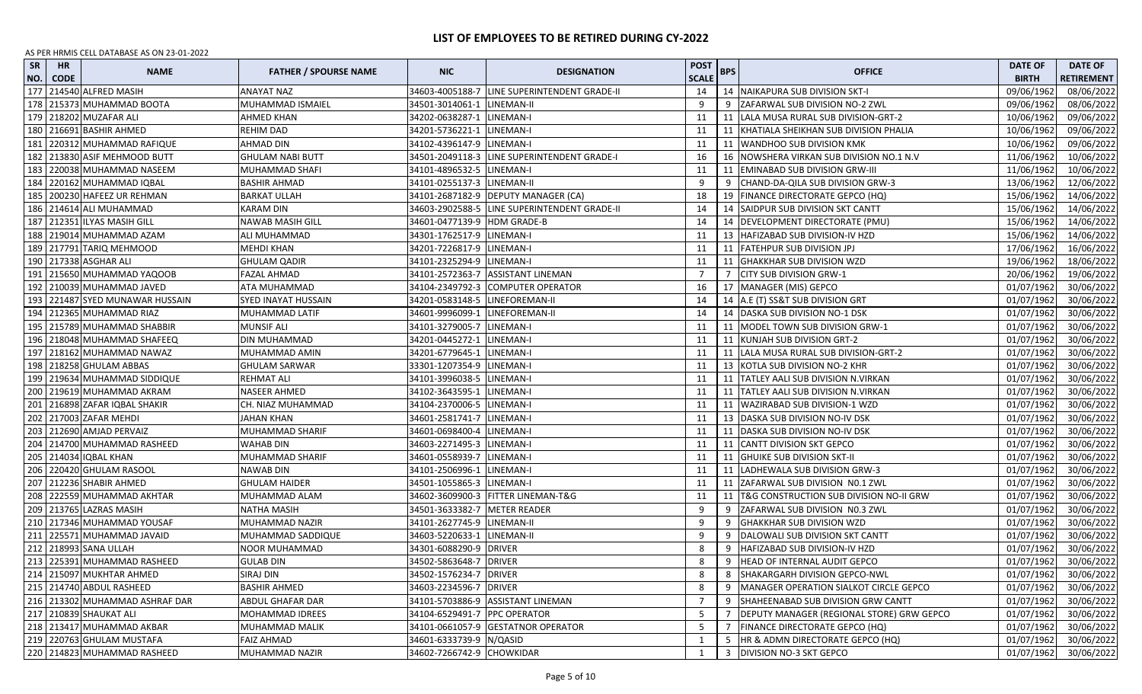| <b>SR</b><br>NO. | <b>HR</b><br><b>CODE</b> | <b>NAME</b>                    | <b>FATHER / SPOURSE NAME</b> | <b>NIC</b>                     | <b>DESIGNATION</b>                           | <b>POST</b><br><b>SCALE</b> | <b>BPS</b> | <b>OFFICE</b>                                | <b>DATE OF</b><br><b>BIRTH</b> | <b>DATE OF</b><br><b>RETIREMENT</b> |
|------------------|--------------------------|--------------------------------|------------------------------|--------------------------------|----------------------------------------------|-----------------------------|------------|----------------------------------------------|--------------------------------|-------------------------------------|
| 177              |                          | 214540 ALFRED MASIH            | <b>ANAYAT NAZ</b>            |                                | 34603-4005188-7 LINE SUPERINTENDENT GRADE-II | 14                          |            | 14   NAIKAPURA SUB DIVISION SKT-I            | 09/06/1962                     | 08/06/2022                          |
| 178              |                          | 215373 MUHAMMAD BOOTA          | MUHAMMAD ISMAIEL             | 34501-3014061-1 LINEMAN-II     |                                              | -9                          |            | 9 ZAFARWAL SUB DIVISION NO-2 ZWL             | 09/06/1962                     | 08/06/2022                          |
| 179              |                          | 218202 MUZAFAR ALI             | AHMED KHAN                   | 34202-0638287-1 LINEMAN-I      |                                              | 11                          |            | 11   LALA MUSA RURAL SUB DIVISION-GRT-2      | 10/06/1962                     | 09/06/2022                          |
| 180              |                          | 216691 BASHIR AHMED            | REHIM DAD                    | 34201-5736221-1 LINEMAN-I      |                                              | 11                          |            | 11 KHATIALA SHEIKHAN SUB DIVISION PHALIA     | 10/06/1962                     | 09/06/2022                          |
| 181              |                          | 220312 MUHAMMAD RAFIQUE        | AHMAD DIN                    | 34102-4396147-9 LINEMAN-I      |                                              | 11                          |            | 11 WANDHOO SUB DIVISION KMK                  | 10/06/1962                     | 09/06/2022                          |
| 182              |                          | 213830 ASIF MEHMOOD BUTT       | <b>GHULAM NABI BUTT</b>      |                                | 34501-2049118-3 LINE SUPERINTENDENT GRADE-I  | 16                          |            | 16   NOWSHERA VIRKAN SUB DIVISION NO.1 N.V   | 11/06/1962                     | 10/06/2022                          |
| 183              |                          | 220038 MUHAMMAD NASEEM         | MUHAMMAD SHAFI               | 34101-4896532-5 LINEMAN-I      |                                              | 11                          |            | 11 EMINABAD SUB DIVISION GRW-III             | 11/06/1962                     | 10/06/2022                          |
| 184              |                          | 220162 MUHAMMAD IQBAL          | <b>BASHIR AHMAD</b>          | 34101-0255137-3 LINEMAN-II     |                                              | 9                           | 9          | CHAND-DA-QILA SUB DIVISION GRW-3             | 13/06/1962                     | 12/06/2022                          |
| 185              |                          | 200230 HAFEEZ UR REHMAN        | <b>BARKAT ULLAH</b>          |                                | 34101-2687182-9 DEPUTY MANAGER (CA)          | 18                          |            | 19   FINANCE DIRECTORATE GEPCO (HQ)          | 15/06/1962                     | 14/06/2022                          |
| 186              |                          | 214614 ALI MUHAMMAD            | <b>KARAM DIN</b>             |                                | 34603-2902588-5 LINE SUPERINTENDENT GRADE-II | 14                          |            | 14 SAIDPUR SUB DIVISION SKT CANTT            | 15/06/1962                     | 14/06/2022                          |
|                  |                          | 187 212351 ILYAS MASIH GILL    | NAWAB MASIH GILL             | 34601-0477139-9 HDM GRADE-B    |                                              | 14                          |            | 14   DEVELOPMENT DIRECTORATE (PMU)           | 15/06/1962                     | 14/06/2022                          |
| 188              |                          | 219014 MUHAMMAD AZAM           | ALI MUHAMMAD                 | 34301-1762517-9 LINEMAN-I      |                                              | 11                          |            | 13 HAFIZABAD SUB DIVISION-IV HZD             | 15/06/1962                     | 14/06/2022                          |
|                  |                          | 189   217791 TARIQ MEHMOOD     | MEHDI KHAN                   | 34201-7226817-9 LINEMAN-I      |                                              | 11                          |            | 11 FATEHPUR SUB DIVISION JPJ                 | 17/06/1962                     | 16/06/2022                          |
|                  |                          | 190 217338 ASGHAR ALI          | GHULAM QADIR                 | 34101-2325294-9 LINEMAN-I      |                                              | 11                          |            | 11 GHAKKHAR SUB DIVISION WZD                 | 19/06/1962                     | 18/06/2022                          |
| 191              |                          | 215650 MUHAMMAD YAQOOB         | FAZAL AHMAD                  |                                | 34101-2572363-7 ASSISTANT LINEMAN            | $\overline{7}$              |            | <b>CITY SUB DIVISION GRW-1</b>               | 20/06/1962                     | 19/06/2022                          |
| 192              |                          | 210039 MUHAMMAD JAVED          | ATA MUHAMMAD                 |                                | 34104-2349792-3 COMPUTER OPERATOR            | 16                          |            | 17 MANAGER (MIS) GEPCO                       | 01/07/1962                     | 30/06/2022                          |
| 193              |                          | 221487 SYED MUNAWAR HUSSAIN    | SYED INAYAT HUSSAIN          | 34201-0583148-5 LINEFOREMAN-II |                                              | 14                          |            | 14 A.E (T) SS&T SUB DIVISION GRT             | 01/07/1962                     | 30/06/2022                          |
| 194              |                          | 212365 MUHAMMAD RIAZ           | MUHAMMAD LATIF               | 34601-9996099-1 LINEFOREMAN-II |                                              | 14                          |            | 14   DASKA SUB DIVISION NO-1 DSK             | 01/07/1962                     | 30/06/2022                          |
| 195              |                          | 215789 MUHAMMAD SHABBIR        | MUNSIF ALI                   | 34101-3279005-7 LINEMAN-I      |                                              | 11                          |            | 11   MODEL TOWN SUB DIVISION GRW-1           | 01/07/1962                     | 30/06/2022                          |
| 196              |                          | 218048 MUHAMMAD SHAFEEQ        | DIN MUHAMMAD                 | 34201-0445272-1 LINEMAN-I      |                                              | 11                          |            | 11 KUNJAH SUB DIVISION GRT-2                 | 01/07/1962                     | 30/06/2022                          |
| 197              |                          | 218162 MUHAMMAD NAWAZ          | MUHAMMAD AMIN                | 34201-6779645-1 LINEMAN-I      |                                              | 11                          |            | 11   LALA MUSA RURAL SUB DIVISION-GRT-2      | 01/07/1962                     | 30/06/2022                          |
| 198              |                          | 218258 GHULAM ABBAS            | <b>GHULAM SARWAR</b>         | 33301-1207354-9 LINEMAN-I      |                                              | 11                          |            | 13 KOTLA SUB DIVISION NO-2 KHR               | 01/07/1962                     | 30/06/2022                          |
|                  |                          | 199 219634 MUHAMMAD SIDDIQUE   | REHMAT ALI                   | 34101-3996038-5 LINEMAN-I      |                                              | 11                          |            | 11 TATLEY AALI SUB DIVISION N.VIRKAN         | 01/07/1962                     | 30/06/2022                          |
|                  |                          | 200 219619 MUHAMMAD AKRAM      | NASEER AHMED                 | 34102-3643595-1 LINEMAN-I      |                                              | 11                          |            | 11   TATLEY AALI SUB DIVISION N. VIRKAN      | 01/07/1962                     | 30/06/2022                          |
| 201              |                          | 216898 ZAFAR IQBAL SHAKIR      | CH. NIAZ MUHAMMAD            | 34104-2370006-5 LINEMAN-I      |                                              | 11                          |            | 11 WAZIRABAD SUB DIVISION-1 WZD              | 01/07/1962                     | 30/06/2022                          |
| 202              |                          | 217003 ZAFAR MEHDI             | JAHAN KHAN                   | 34601-2581741-7 LINEMAN-I      |                                              | 11                          |            | 13 DASKA SUB DIVISION NO-IV DSK              | 01/07/1962                     | 30/06/2022                          |
| 203              |                          | 212690 AMJAD PERVAIZ           | MUHAMMAD SHARIF              | 34601-0698400-4 LINEMAN-I      |                                              | 11                          |            | 11   DASKA SUB DIVISION NO-IV DSK            | 01/07/1962                     | 30/06/2022                          |
| 204              |                          | 214700 MUHAMMAD RASHEED        | WAHAB DIN                    | 34603-2271495-3 LINEMAN-I      |                                              | 11                          |            | 11 CANTT DIVISION SKT GEPCO                  | 01/07/1962                     | 30/06/2022                          |
| 205              |                          | 214034 IQBAL KHAN              | MUHAMMAD SHARIF              | 34601-0558939-7 LINEMAN-I      |                                              | 11                          |            | 11 GHUIKE SUB DIVISION SKT-II                | 01/07/1962                     | 30/06/2022                          |
| 206              |                          | 220420 GHULAM RASOOL           | <b>NAWAB DIN</b>             | 34101-2506996-1 LINEMAN-I      |                                              | 11                          |            | 11 LADHEWALA SUB DIVISION GRW-3              | 01/07/1962                     | 30/06/2022                          |
| 207              |                          | 212236 SHABIR AHMED            | GHULAM HAIDER                | 34501-1055865-3 LINEMAN-I      |                                              | 11                          |            | 11 ZAFARWAL SUB DIVISION NO.1 ZWL            | 01/07/1962                     | 30/06/2022                          |
| 208              |                          | 222559 MUHAMMAD AKHTAR         | MUHAMMAD ALAM                |                                | 34602-3609900-3 FITTER LINEMAN-T&G           | 11                          |            | 11   T&G CONSTRUCTION SUB DIVISION NO-II GRW | 01/07/1962                     | 30/06/2022                          |
|                  |                          | 209 213765 LAZRAS MASIH        | NATHA MASIH                  | 34501-3633382-7 METER READER   |                                              | 9                           |            | 9   ZAFARWAL SUB DIVISION N0.3 ZWL           | 01/07/1962                     | 30/06/2022                          |
|                  |                          | 210 217346 MUHAMMAD YOUSAF     | MUHAMMAD NAZIR               | 34101-2627745-9 LINEMAN-II     |                                              | 9                           |            | 9 GHAKKHAR SUB DIVISION WZD                  | 01/07/1962                     | 30/06/2022                          |
| 211              |                          | 225571 MUHAMMAD JAVAID         | MUHAMMAD SADDIQUE            | 34603-5220633-1 LINEMAN-II     |                                              | 9                           |            | 9 DALOWALI SUB DIVISION SKT CANTT            | 01/07/1962                     | 30/06/2022                          |
|                  |                          | 212 218993 SANA ULLAH          | NOOR MUHAMMAD                | 34301-6088290-9 DRIVER         |                                              | 8                           |            | 9 HAFIZABAD SUB DIVISION-IV HZD              | 01/07/1962                     | 30/06/2022                          |
|                  |                          | 213 225391 MUHAMMAD RASHEED    | <b>GULAB DIN</b>             | 34502-5863648-7 DRIVER         |                                              | 8                           |            | 9 HEAD OF INTERNAL AUDIT GEPCO               | 01/07/1962                     | 30/06/2022                          |
|                  |                          | 214 215097 MUKHTAR AHMED       | <b>SIRAJ DIN</b>             | 34502-1576234-7 DRIVER         |                                              | 8                           |            | 8   SHAKARGARH DIVISION GEPCO-NWL            | 01/07/1962                     | 30/06/2022                          |
|                  |                          | 215 214740 ABDUL RASHEED       | <b>BASHIR AHMED</b>          | 34603-2234596-7 DRIVER         |                                              | 8                           |            | 9   MANAGER OPERATION SIALKOT CIRCLE GEPCO   | 01/07/1962                     | 30/06/2022                          |
|                  |                          | 216 213302 MUHAMMAD ASHRAF DAR | ABDUL GHAFAR DAR             |                                | 34101-5703886-9 ASSISTANT LINEMAN            | $\overline{7}$              |            | 9 SHAHEENABAD SUB DIVISION GRW CANTT         | 01/07/1962                     | 30/06/2022                          |
|                  |                          | 217 210839 SHAUKAT ALI         | MOHAMMAD IDREES              | 34104-6529491-7 PPC OPERATOR   |                                              | 5                           |            | DEPUTY MANAGER (REGIONAL STORE) GRW GEPCO    | 01/07/1962                     | 30/06/2022                          |
|                  |                          | 218 213417 MUHAMMAD AKBAR      | MUHAMMAD MALIK               |                                | 34101-0661057-9 GESTATNOR OPERATOR           | 5                           |            | <b>FINANCE DIRECTORATE GEPCO (HQ)</b>        | 01/07/1962                     | 30/06/2022                          |
|                  |                          | 219 220763 GHULAM MUSTAFA      | FAIZ AHMAD                   | 34601-6333739-9 N/QASID        |                                              | 1                           | 5          | HR & ADMN DIRECTORATE GEPCO (HQ)             | 01/07/1962                     | 30/06/2022                          |
|                  |                          | 220 214823 MUHAMMAD RASHEED    | MUHAMMAD NAZIR               | 34602-7266742-9 CHOWKIDAR      |                                              | 1                           | 3          | <b>DIVISION NO-3 SKT GEPCO</b>               | 01/07/1962                     | 30/06/2022                          |
|                  |                          |                                |                              |                                |                                              |                             |            |                                              |                                |                                     |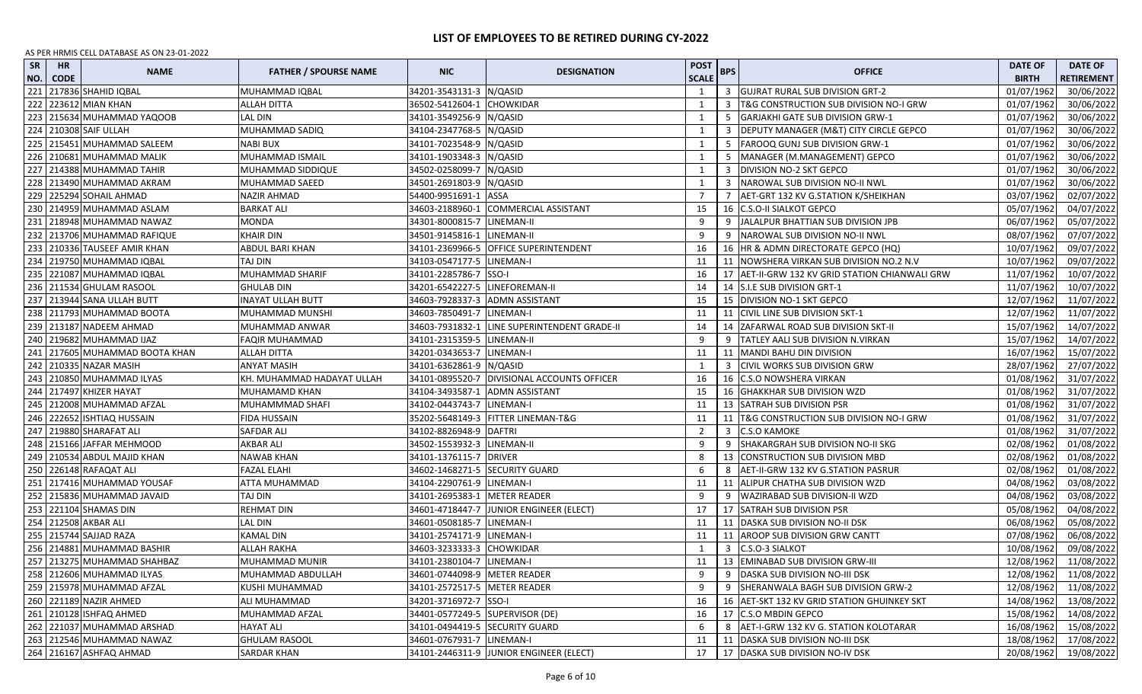| <b>SR</b><br>NO. | HR<br><b>CODE</b> | <b>NAME</b>                 | <b>FATHER / SPOURSE NAME</b> | <b>NIC</b>                       | <b>DESIGNATION</b>                            | POST<br><b>SCALE</b> | <b>BPS</b> | <b>OFFICE</b>                                   | <b>DATE OF</b><br><b>BIRTH</b> | <b>DATE OF</b><br><b>RETIREMENT</b> |
|------------------|-------------------|-----------------------------|------------------------------|----------------------------------|-----------------------------------------------|----------------------|------------|-------------------------------------------------|--------------------------------|-------------------------------------|
| 221              |                   | 217836 SHAHID IQBAL         | MUHAMMAD IQBAL               | 34201-3543131-3 N/QASID          |                                               | 1                    |            | 3 GUJRAT RURAL SUB DIVISION GRT-2               | 01/07/1962                     | 30/06/2022                          |
| 222              |                   | 223612 MIAN KHAN            | <b>ALLAH DITTA</b>           | 36502-5412604-1 CHOWKIDAR        |                                               | 1                    | 3          | T&G CONSTRUCTION SUB DIVISION NO-I GRW          | 01/07/1962                     | 30/06/2022                          |
| 223              |                   | 215634 MUHAMMAD YAQOOB      | <b>LAL DIN</b>               | 34101-3549256-9 N/QASID          |                                               | 1                    | 5          | <b>GARJAKHI GATE SUB DIVISION GRW-1</b>         | 01/07/1962                     | 30/06/2022                          |
| 224              |                   | 210308 SAIF ULLAH           | MUHAMMAD SADIQ               | 34104-2347768-5 N/QASID          |                                               | 1                    |            | DEPUTY MANAGER (M&T) CITY CIRCLE GEPCO          | 01/07/1962                     | 30/06/2022                          |
|                  |                   | 225 215451 MUHAMMAD SALEEM  | NABI BUX                     | 34101-7023548-9 N/QASID          |                                               | 1                    | -5         | <b>FAROOQ GUNJ SUB DIVISION GRW-1</b>           | 01/07/1962                     | 30/06/2022                          |
| 226              |                   | 210681 MUHAMMAD MALIK       | MUHAMMAD ISMAIL              | 34101-1903348-3 N/QASID          |                                               | 1                    | -5         | MANAGER (M.MANAGEMENT) GEPCO                    | 01/07/1962                     | 30/06/2022                          |
| 227              |                   | 214388 MUHAMMAD TAHIR       | MUHAMMAD SIDDIQUE            | 34502-0258099-7 N/QASID          |                                               | 1                    | 3          | <b>DIVISION NO-2 SKT GEPCO</b>                  | 01/07/1962                     | 30/06/2022                          |
|                  |                   | 228 213490 MUHAMMAD AKRAM   | MUHAMMAD SAEED               | 34501-2691803-9 N/QASID          |                                               | 1                    |            | 3 NAROWAL SUB DIVISION NO-II NWL                | 01/07/1962                     | 30/06/2022                          |
|                  |                   | 229 225294 SOHAIL AHMAD     | NAZIR AHMAD                  | 54400-9951691-1                  | <b>ASSA</b>                                   | 7                    | 7          | AET-GRT 132 KV G.STATION K/SHEIKHAN             | 03/07/1962                     | 02/07/2022                          |
|                  |                   | 230 214959 MUHAMMAD ASLAM   | <b>BARKAT ALI</b>            |                                  | 34603-2188960-1 COMMERCIAL ASSISTANT          | 15                   |            | 16 C.S.O-II SIALKOT GEPCO                       | 05/07/1962                     | 04/07/2022                          |
| 231              |                   | 218948 MUHAMMAD NAWAZ       | <b>MONDA</b>                 | 34301-8000815-7 LINEMAN-II       |                                               | 9                    |            | 9 JALALPUR BHATTIAN SUB DIVISION JPB            | 06/07/1962                     | 05/07/2022                          |
| 232              |                   | 213706 MUHAMMAD RAFIQUE     | KHAIR DIN                    | 34501-9145816-1 LINEMAN-II       |                                               | 9                    |            | 9   NAROWAL SUB DIVISION NO-II NWL              | 08/07/1962                     | 07/07/2022                          |
| 233              |                   | 210336 TAUSEEF AMIR KHAN    | ABDUL BARI KHAN              |                                  | 34101-2369966-5 OFFICE SUPERINTENDENT         | 16                   |            | 16 HR & ADMN DIRECTORATE GEPCO (HQ)             | 10/07/1962                     | 09/07/2022                          |
| 234              |                   | 219750 MUHAMMAD IQBAL       | TAJ DIN                      | 34103-0547177-5 LINEMAN-I        |                                               | 11                   |            | 11 NOWSHERA VIRKAN SUB DIVISION NO.2 N.V        | 10/07/1962                     | 09/07/2022                          |
| 235              |                   | 221087 MUHAMMAD IQBAL       | MUHAMMAD SHARIF              | 34101-2285786-7 SSO-I            |                                               | 16                   |            | 17 AET-II-GRW 132 KV GRID STATION CHIANWALI GRW | 11/07/1962                     | 10/07/2022                          |
| 236              |                   | 211534 GHULAM RASOOL        | <b>GHULAB DIN</b>            | 34201-6542227-5   LINEFOREMAN-II |                                               | 14                   |            | 14 S.I.E SUB DIVISION GRT-1                     | 11/07/1962                     | 10/07/2022                          |
| 237              |                   | 213944 SANA ULLAH BUTT      | <b>INAYAT ULLAH BUTT</b>     |                                  | 34603-7928337-3 ADMN ASSISTANT                | 15                   |            | 15 DIVISION NO-1 SKT GEPCO                      | 12/07/1962                     | 11/07/2022                          |
| 238              |                   | 211793 MUHAMMAD BOOTA       | MUHAMMAD MUNSHI              | 34603-7850491-7   LINEMAN-I      |                                               | 11                   |            | 11 CIVIL LINE SUB DIVISION SKT-1                | 12/07/1962                     | 11/07/2022                          |
|                  |                   | 239 213187 NADEEM AHMAD     | MUHAMMAD ANWAR               |                                  | 34603-7931832-1 LINE SUPERINTENDENT GRADE-II  | 14                   |            | 14 ZAFARWAL ROAD SUB DIVISION SKT-II            | 15/07/1962                     | 14/07/2022                          |
|                  |                   | 240 219682 MUHAMMAD IJAZ    | FAQIR MUHAMMAD               | 34101-2315359-5 LINEMAN-II       |                                               | 9                    |            | 9 TATLEY AALI SUB DIVISION N.VIRKAN             | 15/07/1962                     | 14/07/2022                          |
| 241              |                   | 217605 MUHAMMAD BOOTA KHAN  | <b>ALLAH DITTA</b>           | 34201-0343653-7 LINEMAN-I        |                                               | 11                   |            | 11   MANDI BAHU DIN DIVISION                    | 16/07/1962                     | 15/07/2022                          |
|                  |                   | 242 210335 NAZAR MASIH      | ANYAT MASIH                  | 34101-6362861-9 N/QASID          |                                               | 1                    |            | 3 CIVIL WORKS SUB DIVISION GRW                  | 28/07/1962                     | 27/07/2022                          |
|                  |                   | 243 210850 MUHAMMAD ILYAS   | KH. MUHAMMAD HADAYAT ULLAH   |                                  | 34101-0895520-7   DIVISIONAL ACCOUNTS OFFICER | 16                   |            | 16 C.S.O NOWSHERA VIRKAN                        | 01/08/1962                     | 31/07/2022                          |
|                  |                   | 244 217497 KHIZER HAYAT     | MUHAMAMD KHAN                | 34104-3493587-1 ADMN ASSISTANT   |                                               | 15                   |            | 16 GHAKKHAR SUB DIVISION WZD                    | 01/08/1962                     | 31/07/2022                          |
|                  |                   | 245 212008 MUHAMMAD AFZAL   | MUHAMMMAD SHAFI              | 34102-0443743-7 LINEMAN-I        |                                               | 11                   |            | 13 SATRAH SUB DIVISION PSR                      | 01/08/1962                     | 31/07/2022                          |
| 246              |                   | 222652 ISHTIAQ HUSSAIN      | <b>FIDA HUSSAIN</b>          |                                  | 35202-5648149-3 FITTER LINEMAN-T&G            | 11                   |            | 11   T&G CONSTRUCTION SUB DIVISION NO-I GRW     | 01/08/1962                     | 31/07/2022                          |
| 247              |                   | 219880 SHARAFAT ALI         | <b>SAFDAR ALI</b>            | 34102-8826948-9 DAFTRI           |                                               | $\overline{2}$       | 3          | <b>C.S.O KAMOKE</b>                             | 01/08/1962                     | 31/07/2022                          |
| 248              |                   | 215166 JAFFAR MEHMOOD       | AKBAR ALI                    | 34502-1553932-3 LINEMAN-II       |                                               | 9                    | 9          | SHAKARGRAH SUB DIVISION NO-II SKG               | 02/08/1962                     | 01/08/2022                          |
| 249              |                   | 210534 ABDUL MAJID KHAN     | NAWAB KHAN                   | 34101-1376115-7 DRIVER           |                                               | 8                    |            | 13   CONSTRUCTION SUB DIVISION MBD              | 02/08/1962                     | 01/08/2022                          |
| 250              |                   | 226148 RAFAQAT ALI          | FAZAL ELAHI                  |                                  | 34602-1468271-5 SECURITY GUARD                | 6                    | 8          | AET-II-GRW 132 KV G.STATION PASRUR              | 02/08/1962                     | 01/08/2022                          |
| 251              |                   | 217416 MUHAMMAD YOUSAF      | ATTA MUHAMMAD                | 34104-2290761-9 LINEMAN-I        |                                               | 11                   |            | 11 ALIPUR CHATHA SUB DIVISION WZD               | 04/08/1962                     | 03/08/2022                          |
| 252              |                   | 215836 MUHAMMAD JAVAID      | TAJ DIN                      | 34101-2695383-1 METER READER     |                                               | 9                    |            | 9   WAZIRABAD SUB DIVISION-II WZD               | 04/08/1962                     | 03/08/2022                          |
|                  |                   | 253 221104 SHAMAS DIN       | <b>REHMAT DIN</b>            |                                  | 34601-4718447-7 JUNIOR ENGINEER (ELECT)       | 17                   |            | 17 SATRAH SUB DIVISION PSR                      | 05/08/1962                     | 04/08/2022                          |
|                  |                   | 254 212508 AKBAR ALI        | LAL DIN                      | 34601-0508185-7 LINEMAN-I        |                                               | 11                   |            | 11   DASKA SUB DIVISION NO-II DSK               | 06/08/1962                     | 05/08/2022                          |
|                  |                   | 255   215744 SAJJAD RAZA    | <b>KAMAL DIN</b>             | 34101-2574171-9 LINEMAN-I        |                                               | 11                   |            | 11 AROOP SUB DIVISION GRW CANTT                 | 07/08/1962                     | 06/08/2022                          |
|                  |                   | 256 214881 MUHAMMAD BASHIR  | ALLAH RAKHA                  | 34603-3233333-3 CHOWKIDAR        |                                               | 1                    |            | 3 C.S.O-3 SIALKOT                               | 10/08/1962                     | 09/08/2022                          |
|                  |                   | 257 213275 MUHAMMAD SHAHBAZ | MUHAMMAD MUNIR               | 34101-2380104-7 LINEMAN-I        |                                               | 11                   |            | 13 EMINABAD SUB DIVISION GRW-III                | 12/08/1962                     | 11/08/2022                          |
|                  |                   | 258 212606 MUHAMMAD ILYAS   | MUHAMMAD ABDULLAH            | 34601-0744098-9   METER READER   |                                               | 9                    |            | 9 DASKA SUB DIVISION NO-III DSK                 |                                | 12/08/1962 11/08/2022               |
|                  |                   | 259 215978 MUHAMMAD AFZAL   | KUSHI MUHAMMAD               | 34101-2572517-5 METER READER     |                                               | 9                    |            | 9 SHERANWALA BAGH SUB DIVISION GRW-2            | 12/08/1962                     | 11/08/2022                          |
|                  |                   | 260 221189 NAZIR AHMED      | ALI MUHAMMAD                 | 34201-3716972-7 SSO-I            |                                               | 16                   |            | 16 AET-SKT 132 KV GRID STATION GHUINKEY SKT     | 14/08/1962                     | 13/08/2022                          |
|                  |                   | 261 210128 ISHFAQ AHMED     | MUHAMMAD AFZAL               | 34401-0577249-5 SUPERVISOR (DE)  |                                               | 16                   |            | 17 C.S.O MBDIN GEPCO                            | 15/08/1962                     | 14/08/2022                          |
|                  |                   | 262 221037 MUHAMMAD ARSHAD  | <b>HAYAT ALI</b>             | 34101-0494419-5 SECURITY GUARD   |                                               | 6                    |            | 8 AET-I-GRW 132 KV G. STATION KOLOTARAR         | 16/08/1962                     | 15/08/2022                          |
|                  |                   | 263 212546 MUHAMMAD NAWAZ   | <b>GHULAM RASOOL</b>         | 34601-0767931-7 LINEMAN-I        |                                               | 11                   |            | 11 DASKA SUB DIVISION NO-III DSK                | 18/08/1962                     | 17/08/2022                          |
|                  |                   | 264 216167 ASHFAQ AHMAD     | <b>SARDAR KHAN</b>           |                                  | 34101-2446311-9 JUNIOR ENGINEER (ELECT)       | 17                   |            | 17 DASKA SUB DIVISION NO-IV DSK                 | 20/08/1962                     | 19/08/2022                          |
|                  |                   |                             |                              |                                  |                                               |                      |            |                                                 |                                |                                     |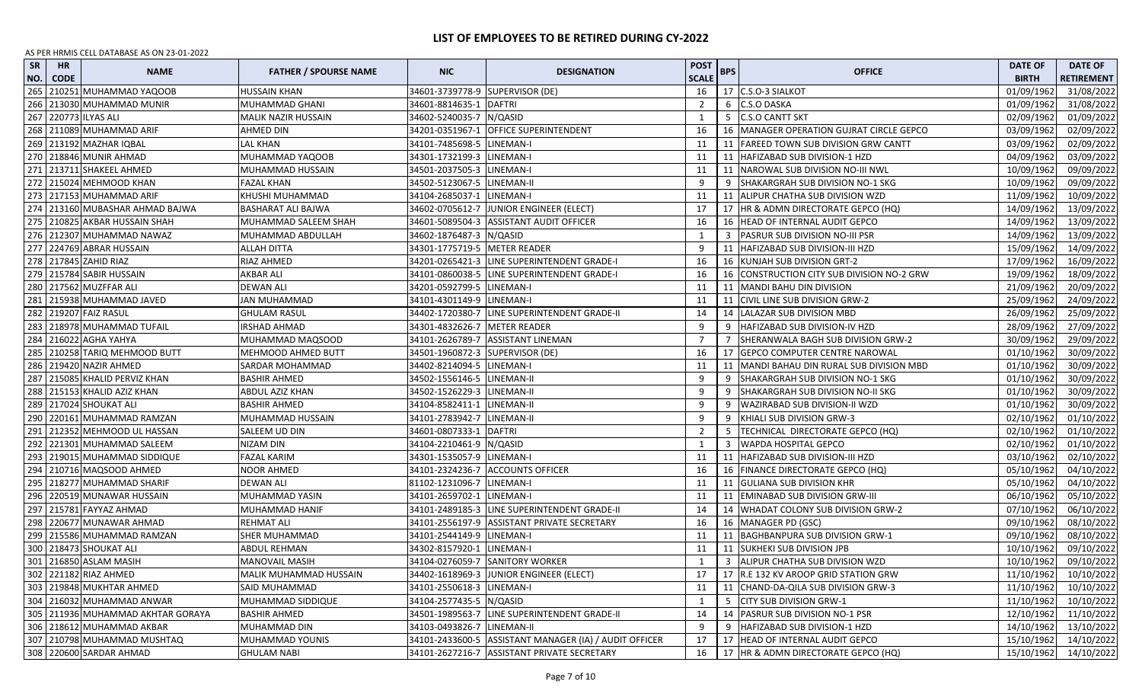| 265<br>34601-3739778-9 SUPERVISOR (DE)<br>210251 MUHAMMAD YAQOOB<br><b>HUSSAIN KHAN</b><br>16<br>17 C.S.O-3 SIALKOT<br>01/09/1962<br>31/08/2022<br>266 213030 MUHAMMAD MUNIR<br><b>C.S.O DASKA</b><br>MUHAMMAD GHANI<br>34601-8814635-1 DAFTRI<br>2<br>01/09/1962<br>31/08/2022<br>6<br>267 220773 ILYAS ALI<br>MALIK NAZIR HUSSAIN<br>34602-5240035-7 N/QASID<br><b>C.S.O CANTT SKT</b><br>02/09/1962<br>01/09/2022<br>1<br>5<br>268 211089 MUHAMMAD ARIF<br>34201-0351967-1 OFFICE SUPERINTENDENT<br>AHMED DIN<br>16<br>16   MANAGER OPERATION GUJRAT CIRCLE GEPCO<br>03/09/1962<br>02/09/2022<br>269 213192 MAZHAR IQBAL<br>34101-7485698-5 LINEMAN-I<br>11<br><b>FAREED TOWN SUB DIVISION GRW CANTT</b><br>03/09/1962<br>02/09/2022<br>LAL KHAN<br>11<br>270 218846 MUNIR AHMAD<br>MUHAMMAD YAQOOB<br>34301-1732199-3 LINEMAN-I<br>11<br>04/09/1962<br>03/09/2022<br>11   HAFIZABAD SUB DIVISION-1 HZD<br>271 213711 SHAKEEL AHMED<br>MUHAMMAD HUSSAIN<br>34501-2037505-3 LINEMAN-I<br>11<br>11 NAROWAL SUB DIVISION NO-III NWL<br>10/09/1962<br>09/09/2022<br>272 215024 MEHMOOD KHAN<br>34502-5123067-5<br>LINEMAN-II<br><b>FAZAL KHAN</b><br>-9<br>SHAKARGRAH SUB DIVISION NO-1 SKG<br>10/09/1962<br>09/09/2022<br>273 217153 MUHAMMAD ARIF<br>KHUSHI MUHAMMAD<br>34104-2685037-1<br>LINEMAN-I<br>11 ALIPUR CHATHA SUB DIVISION WZD<br>11/09/1962<br>11<br>10/09/2022<br>274 213160 MUBASHAR AHMAD BAJWA<br>34602-0705612-7<br>14/09/1962<br><b>BASHARAT ALI BAJWA</b><br>JUNIOR ENGINEER (ELECT)<br>17<br>17   HR & ADMN DIRECTORATE GEPCO (HQ)<br>13/09/2022<br>275 210825 AKBAR HUSSAIN SHAH<br>MUHAMMAD SALEEM SHAH<br>34601-5089504-3 ASSISTANT AUDIT OFFICER<br>16<br>16 HEAD OF INTERNAL AUDIT GEPCO<br>14/09/1962<br>13/09/2022<br>276 212307 MUHAMMAD NAWAZ<br>14/09/1962<br>34602-1876487-3 N/QASID<br>3   PASRUR SUB DIVISION NO-III PSR<br>13/09/2022<br>MUHAMMAD ABDULLAH<br>1<br>277 224769 ABRAR HUSSAIN<br><b>ALLAH DITTA</b><br>34301-1775719-5   METER READER<br>9<br>11   HAFIZABAD SUB DIVISION-III HZD<br>15/09/1962<br>14/09/2022<br>278 217845 ZAHID RIAZ<br>RIAZ AHMED<br>LINE SUPERINTENDENT GRADE-I<br>34201-0265421-3<br>16<br>16 KUNJAH SUB DIVISION GRT-2<br>17/09/1962<br>16/09/2022<br>279 215784 SABIR HUSSAIN<br><b>AKBAR ALI</b><br>34101-0860038-5<br>LINE SUPERINTENDENT GRADE-I<br>16 CONSTRUCTION CITY SUB DIVISION NO-2 GRW<br>19/09/1962<br>18/09/2022<br>16<br>280 217562 MUZFFAR ALI<br><b>DEWAN ALI</b><br>34201-0592799-5<br>LINEMAN-I<br>11<br>MANDI BAHU DIN DIVISION<br>21/09/1962<br>20/09/2022<br>11<br>281 215938 MUHAMMAD JAVED<br>JAN MUHAMMAD<br>34101-4301149-9 LINEMAN-I<br>11<br>11 CIVIL LINE SUB DIVISION GRW-2<br>25/09/1962<br>24/09/2022<br>282 219207 FAIZ RASUL<br>LINE SUPERINTENDENT GRADE-II<br>14<br>26/09/1962<br>25/09/2022<br><b>GHULAM RASUL</b><br>34402-1720380-7<br>14   LALAZAR SUB DIVISION MBD<br>283 218978 MUHAMMAD TUFAIL<br>34301-4832626-7<br><b>METER READER</b><br>9<br>28/09/1962<br>IRSHAD AHMAD<br>HAFIZABAD SUB DIVISION-IV HZD<br>27/09/2022<br>9<br>284 216022 AGHA YAHYA<br>$\overline{7}$<br>MUHAMMAD MAQSOOD<br>34101-2626789-7 ASSISTANT LINEMAN<br>SHERANWALA BAGH SUB DIVISION GRW-2<br>30/09/1962<br>29/09/2022<br>285 210258 TARIQ MEHMOOD BUTT<br><b>MEHMOOD AHMED BUTT</b><br>34501-1960872-3 SUPERVISOR (DE)<br>16<br>17 GEPCO COMPUTER CENTRE NAROWAL<br>01/10/1962<br>30/09/2022<br>286 219420 NAZIR AHMED<br>34402-8214094-5 LINEMAN-I<br>11 MANDI BAHAU DIN RURAL SUB DIVISION MBD<br>01/10/1962<br><b>SARDAR MOHAMMAD</b><br>11<br>30/09/2022<br>287 215085 KHALID PERVIZ KHAN<br>9<br><b>BASHIR AHMED</b><br>34502-1556146-5 LINEMAN-II<br>SHAKARGRAH SUB DIVISION NO-1 SKG<br>01/10/1962<br>30/09/2022<br>9<br>288 215153 KHALID AZIZ KHAN<br>34502-1526229-3 LINEMAN-II<br>9<br>SHAKARGRAH SUB DIVISION NO-II SKG<br>01/10/1962<br>30/09/2022<br>ABDUL AZIZ KHAN<br>9<br>289 217024 SHOUKAT ALI<br><b>BASHIR AHMED</b><br>34104-8582411-1<br>LINEMAN-II<br>9<br>WAZIRABAD SUB DIVISION-II WZD<br>01/10/1962<br>30/09/2022<br>-9<br>290 220161 MUHAMMAD RAMZAN<br>MUHAMMAD HUSSAIN<br>34101-2783942-7<br>LINEMAN-II<br>9<br>KHIALI SUB DIVISION GRW-3<br>02/10/1962<br>01/10/2022<br>9<br>291 212352 MEHMOOD UL HASSAN<br>SALEEM UD DIN<br>34601-0807333-1 DAFTRI<br>2<br>TECHNICAL DIRECTORATE GEPCO (HQ)<br>02/10/1962<br>01/10/2022<br>292 221301 MUHAMMAD SALEEM<br><b>NIZAM DIN</b><br>02/10/1962<br>34104-2210461-9 N/QASID<br><b>WAPDA HOSPITAL GEPCO</b><br>01/10/2022<br>1<br>293 219015 MUHAMMAD SIDDIQUE<br>FAZAL KARIM<br>34301-1535057-9 LINEMAN-I<br>11<br>11 HAFIZABAD SUB DIVISION-III HZD<br>03/10/1962<br>02/10/2022<br>294 210716 MAQSOOD AHMED<br>16<br>NOOR AHMED<br>34101-2324236-7 ACCOUNTS OFFICER<br>16 FINANCE DIRECTORATE GEPCO (HQ)<br>05/10/1962<br>04/10/2022<br>295 218277 MUHAMMAD SHARIF<br><b>DEWAN ALI</b><br>81102-1231096-7<br>LINEMAN-I<br>11<br>11 GULIANA SUB DIVISION KHR<br>05/10/1962<br>04/10/2022<br>296 220519 MUNAWAR HUSSAIN<br>MUHAMMAD YASIN<br>34101-2659702-1<br>LINEMAN-I<br>06/10/1962<br>11<br>11 EMINABAD SUB DIVISION GRW-III<br>05/10/2022<br>297 215781 FAYYAZ AHMAD<br>MUHAMMAD HANIF<br>34101-2489185-3<br>LINE SUPERINTENDENT GRADE-II<br>14 WHADAT COLONY SUB DIVISION GRW-2<br>07/10/1962<br>06/10/2022<br>14<br>298 220677 MUNAWAR AHMAD<br><b>REHMAT ALI</b><br>34101-2556197-9 ASSISTANT PRIVATE SECRETARY<br>09/10/1962<br>16<br>16   MANAGER PD (GSC)<br>08/10/2022<br>299 215586 MUHAMMAD RAMZAN<br>34101-2544149-9<br>09/10/1962<br><b>SHER MUHAMMAD</b><br>LINEMAN-I<br>11<br>11 BAGHBANPURA SUB DIVISION GRW-1<br>08/10/2022<br>300 218473 SHOUKAT ALI<br>34302-8157920-1<br>LINEMAN-I<br>11 SUKHEKI SUB DIVISION JPB<br>10/10/1962<br>09/10/2022<br>ABDUL REHMAN<br>11<br>301 216850 ASLAM MASIH<br>34104-0276059-7 SANITORY WORKER<br>3 ALIPUR CHATHA SUB DIVISION WZD<br>10/10/1962<br><b>MANOVAIL MASIH</b><br>1<br>09/10/2022<br>302 221182 RIAZ AHMED<br>11/10/1962<br>10/10/2022<br>MALIK MUHAMMAD HUSSAIN<br>34402-1618969-3 JUNIOR ENGINEER (ELECT)<br>17 R.E 132 KV AROOP GRID STATION GRW<br>17<br>303 219848 MUKHTAR AHMED<br>10/10/2022<br>SAID MUHAMMAD<br>34101-2550618-3 LINEMAN-I<br>11 CHAND-DA-QILA SUB DIVISION GRW-3<br>11/10/1962<br>11<br>304 216032 MUHAMMAD ANWAR<br>MUHAMMAD SIDDIQUE<br>34104-2577435-5 N/QASID<br>5 CITY SUB DIVISION GRW-1<br>11/10/1962<br>10/10/2022<br>$\mathbf{1}$<br>305 211936 MUHAMMAD AKHTAR GORAYA<br><b>BASHIR AHMED</b><br>34501-1989563-7<br>LINE SUPERINTENDENT GRADE-II<br>14 PASRUR SUB DIVISION NO-1 PSR<br>14<br>12/10/1962<br>11/10/2022<br>306 218612 MUHAMMAD AKBAR<br>MUHAMMAD DIN<br>34103-0493826-7<br>LINEMAN-II<br>9<br>HAFIZABAD SUB DIVISION-1 HZD<br>14/10/1962<br>13/10/2022<br>307 210798 MUHAMMAD MUSHTAQ<br>17<br>MUHAMMAD YOUNIS<br>34101-2433600-5 ASSISTANT MANAGER (IA) / AUDIT OFFICER<br>17 HEAD OF INTERNAL AUDIT GEPCO<br>15/10/1962<br>14/10/2022<br>308 220600 SARDAR AHMAD<br><b>GHULAM NABI</b><br>34101-2627216-7 ASSISTANT PRIVATE SECRETARY<br>16<br>17   HR & ADMN DIRECTORATE GEPCO (HQ)<br>15/10/1962<br>14/10/2022 | SR<br>NO. | HR<br><b>CODE</b> | <b>NAME</b> | <b>FATHER / SPOURSE NAME</b> | <b>NIC</b> | <b>DESIGNATION</b> | <b>POST</b><br><b>SCALE</b> | <b>BPS</b> | <b>OFFICE</b> | <b>DATE OF</b><br><b>BIRTH</b> | <b>DATE OF</b><br><b>RETIREMENT</b> |
|----------------------------------------------------------------------------------------------------------------------------------------------------------------------------------------------------------------------------------------------------------------------------------------------------------------------------------------------------------------------------------------------------------------------------------------------------------------------------------------------------------------------------------------------------------------------------------------------------------------------------------------------------------------------------------------------------------------------------------------------------------------------------------------------------------------------------------------------------------------------------------------------------------------------------------------------------------------------------------------------------------------------------------------------------------------------------------------------------------------------------------------------------------------------------------------------------------------------------------------------------------------------------------------------------------------------------------------------------------------------------------------------------------------------------------------------------------------------------------------------------------------------------------------------------------------------------------------------------------------------------------------------------------------------------------------------------------------------------------------------------------------------------------------------------------------------------------------------------------------------------------------------------------------------------------------------------------------------------------------------------------------------------------------------------------------------------------------------------------------------------------------------------------------------------------------------------------------------------------------------------------------------------------------------------------------------------------------------------------------------------------------------------------------------------------------------------------------------------------------------------------------------------------------------------------------------------------------------------------------------------------------------------------------------------------------------------------------------------------------------------------------------------------------------------------------------------------------------------------------------------------------------------------------------------------------------------------------------------------------------------------------------------------------------------------------------------------------------------------------------------------------------------------------------------------------------------------------------------------------------------------------------------------------------------------------------------------------------------------------------------------------------------------------------------------------------------------------------------------------------------------------------------------------------------------------------------------------------------------------------------------------------------------------------------------------------------------------------------------------------------------------------------------------------------------------------------------------------------------------------------------------------------------------------------------------------------------------------------------------------------------------------------------------------------------------------------------------------------------------------------------------------------------------------------------------------------------------------------------------------------------------------------------------------------------------------------------------------------------------------------------------------------------------------------------------------------------------------------------------------------------------------------------------------------------------------------------------------------------------------------------------------------------------------------------------------------------------------------------------------------------------------------------------------------------------------------------------------------------------------------------------------------------------------------------------------------------------------------------------------------------------------------------------------------------------------------------------------------------------------------------------------------------------------------------------------------------------------------------------------------------------------------------------------------------------------------------------------------------------------------------------------------------------------------------------------------------------------------------------------------------------------------------------------------------------------------------------------------------------------------------------------------------------------------------------------------------------------------------------------------------------------------------------------------------------------------------------------------------------------------------------------------------------------------------------------------------------------------------------------------------------------------------------------------------------------------------------------------------------------------------------------------------------------------------------------------------------------------------------------------------------------------------------------------------------------------------------------------------------------------------------------------------------------------------------------------------------------------------------------------------------------------------------------------------------------------------------------------------------------------------------------------------------------------------------------------------------------------------------------------------------------------------------------------------------------------------------------------------------------------------------------------------------------------------------------------------------------------------------------------------------------------------------------------------------------------------------------------------------|-----------|-------------------|-------------|------------------------------|------------|--------------------|-----------------------------|------------|---------------|--------------------------------|-------------------------------------|
|                                                                                                                                                                                                                                                                                                                                                                                                                                                                                                                                                                                                                                                                                                                                                                                                                                                                                                                                                                                                                                                                                                                                                                                                                                                                                                                                                                                                                                                                                                                                                                                                                                                                                                                                                                                                                                                                                                                                                                                                                                                                                                                                                                                                                                                                                                                                                                                                                                                                                                                                                                                                                                                                                                                                                                                                                                                                                                                                                                                                                                                                                                                                                                                                                                                                                                                                                                                                                                                                                                                                                                                                                                                                                                                                                                                                                                                                                                                                                                                                                                                                                                                                                                                                                                                                                                                                                                                                                                                                                                                                                                                                                                                                                                                                                                                                                                                                                                                                                                                                                                                                                                                                                                                                                                                                                                                                                                                                                                                                                                                                                                                                                                                                                                                                                                                                                                                                                                                                                                                                                                                                                                                                                                                                                                                                                                                                                                                                                                                                                                                                                                                                                                                                                                                                                                                                                                                                                                                                                                                                                                                                                                                |           |                   |             |                              |            |                    |                             |            |               |                                |                                     |
|                                                                                                                                                                                                                                                                                                                                                                                                                                                                                                                                                                                                                                                                                                                                                                                                                                                                                                                                                                                                                                                                                                                                                                                                                                                                                                                                                                                                                                                                                                                                                                                                                                                                                                                                                                                                                                                                                                                                                                                                                                                                                                                                                                                                                                                                                                                                                                                                                                                                                                                                                                                                                                                                                                                                                                                                                                                                                                                                                                                                                                                                                                                                                                                                                                                                                                                                                                                                                                                                                                                                                                                                                                                                                                                                                                                                                                                                                                                                                                                                                                                                                                                                                                                                                                                                                                                                                                                                                                                                                                                                                                                                                                                                                                                                                                                                                                                                                                                                                                                                                                                                                                                                                                                                                                                                                                                                                                                                                                                                                                                                                                                                                                                                                                                                                                                                                                                                                                                                                                                                                                                                                                                                                                                                                                                                                                                                                                                                                                                                                                                                                                                                                                                                                                                                                                                                                                                                                                                                                                                                                                                                                                                |           |                   |             |                              |            |                    |                             |            |               |                                |                                     |
|                                                                                                                                                                                                                                                                                                                                                                                                                                                                                                                                                                                                                                                                                                                                                                                                                                                                                                                                                                                                                                                                                                                                                                                                                                                                                                                                                                                                                                                                                                                                                                                                                                                                                                                                                                                                                                                                                                                                                                                                                                                                                                                                                                                                                                                                                                                                                                                                                                                                                                                                                                                                                                                                                                                                                                                                                                                                                                                                                                                                                                                                                                                                                                                                                                                                                                                                                                                                                                                                                                                                                                                                                                                                                                                                                                                                                                                                                                                                                                                                                                                                                                                                                                                                                                                                                                                                                                                                                                                                                                                                                                                                                                                                                                                                                                                                                                                                                                                                                                                                                                                                                                                                                                                                                                                                                                                                                                                                                                                                                                                                                                                                                                                                                                                                                                                                                                                                                                                                                                                                                                                                                                                                                                                                                                                                                                                                                                                                                                                                                                                                                                                                                                                                                                                                                                                                                                                                                                                                                                                                                                                                                                                |           |                   |             |                              |            |                    |                             |            |               |                                |                                     |
|                                                                                                                                                                                                                                                                                                                                                                                                                                                                                                                                                                                                                                                                                                                                                                                                                                                                                                                                                                                                                                                                                                                                                                                                                                                                                                                                                                                                                                                                                                                                                                                                                                                                                                                                                                                                                                                                                                                                                                                                                                                                                                                                                                                                                                                                                                                                                                                                                                                                                                                                                                                                                                                                                                                                                                                                                                                                                                                                                                                                                                                                                                                                                                                                                                                                                                                                                                                                                                                                                                                                                                                                                                                                                                                                                                                                                                                                                                                                                                                                                                                                                                                                                                                                                                                                                                                                                                                                                                                                                                                                                                                                                                                                                                                                                                                                                                                                                                                                                                                                                                                                                                                                                                                                                                                                                                                                                                                                                                                                                                                                                                                                                                                                                                                                                                                                                                                                                                                                                                                                                                                                                                                                                                                                                                                                                                                                                                                                                                                                                                                                                                                                                                                                                                                                                                                                                                                                                                                                                                                                                                                                                                                |           |                   |             |                              |            |                    |                             |            |               |                                |                                     |
|                                                                                                                                                                                                                                                                                                                                                                                                                                                                                                                                                                                                                                                                                                                                                                                                                                                                                                                                                                                                                                                                                                                                                                                                                                                                                                                                                                                                                                                                                                                                                                                                                                                                                                                                                                                                                                                                                                                                                                                                                                                                                                                                                                                                                                                                                                                                                                                                                                                                                                                                                                                                                                                                                                                                                                                                                                                                                                                                                                                                                                                                                                                                                                                                                                                                                                                                                                                                                                                                                                                                                                                                                                                                                                                                                                                                                                                                                                                                                                                                                                                                                                                                                                                                                                                                                                                                                                                                                                                                                                                                                                                                                                                                                                                                                                                                                                                                                                                                                                                                                                                                                                                                                                                                                                                                                                                                                                                                                                                                                                                                                                                                                                                                                                                                                                                                                                                                                                                                                                                                                                                                                                                                                                                                                                                                                                                                                                                                                                                                                                                                                                                                                                                                                                                                                                                                                                                                                                                                                                                                                                                                                                                |           |                   |             |                              |            |                    |                             |            |               |                                |                                     |
|                                                                                                                                                                                                                                                                                                                                                                                                                                                                                                                                                                                                                                                                                                                                                                                                                                                                                                                                                                                                                                                                                                                                                                                                                                                                                                                                                                                                                                                                                                                                                                                                                                                                                                                                                                                                                                                                                                                                                                                                                                                                                                                                                                                                                                                                                                                                                                                                                                                                                                                                                                                                                                                                                                                                                                                                                                                                                                                                                                                                                                                                                                                                                                                                                                                                                                                                                                                                                                                                                                                                                                                                                                                                                                                                                                                                                                                                                                                                                                                                                                                                                                                                                                                                                                                                                                                                                                                                                                                                                                                                                                                                                                                                                                                                                                                                                                                                                                                                                                                                                                                                                                                                                                                                                                                                                                                                                                                                                                                                                                                                                                                                                                                                                                                                                                                                                                                                                                                                                                                                                                                                                                                                                                                                                                                                                                                                                                                                                                                                                                                                                                                                                                                                                                                                                                                                                                                                                                                                                                                                                                                                                                                |           |                   |             |                              |            |                    |                             |            |               |                                |                                     |
|                                                                                                                                                                                                                                                                                                                                                                                                                                                                                                                                                                                                                                                                                                                                                                                                                                                                                                                                                                                                                                                                                                                                                                                                                                                                                                                                                                                                                                                                                                                                                                                                                                                                                                                                                                                                                                                                                                                                                                                                                                                                                                                                                                                                                                                                                                                                                                                                                                                                                                                                                                                                                                                                                                                                                                                                                                                                                                                                                                                                                                                                                                                                                                                                                                                                                                                                                                                                                                                                                                                                                                                                                                                                                                                                                                                                                                                                                                                                                                                                                                                                                                                                                                                                                                                                                                                                                                                                                                                                                                                                                                                                                                                                                                                                                                                                                                                                                                                                                                                                                                                                                                                                                                                                                                                                                                                                                                                                                                                                                                                                                                                                                                                                                                                                                                                                                                                                                                                                                                                                                                                                                                                                                                                                                                                                                                                                                                                                                                                                                                                                                                                                                                                                                                                                                                                                                                                                                                                                                                                                                                                                                                                |           |                   |             |                              |            |                    |                             |            |               |                                |                                     |
|                                                                                                                                                                                                                                                                                                                                                                                                                                                                                                                                                                                                                                                                                                                                                                                                                                                                                                                                                                                                                                                                                                                                                                                                                                                                                                                                                                                                                                                                                                                                                                                                                                                                                                                                                                                                                                                                                                                                                                                                                                                                                                                                                                                                                                                                                                                                                                                                                                                                                                                                                                                                                                                                                                                                                                                                                                                                                                                                                                                                                                                                                                                                                                                                                                                                                                                                                                                                                                                                                                                                                                                                                                                                                                                                                                                                                                                                                                                                                                                                                                                                                                                                                                                                                                                                                                                                                                                                                                                                                                                                                                                                                                                                                                                                                                                                                                                                                                                                                                                                                                                                                                                                                                                                                                                                                                                                                                                                                                                                                                                                                                                                                                                                                                                                                                                                                                                                                                                                                                                                                                                                                                                                                                                                                                                                                                                                                                                                                                                                                                                                                                                                                                                                                                                                                                                                                                                                                                                                                                                                                                                                                                                |           |                   |             |                              |            |                    |                             |            |               |                                |                                     |
|                                                                                                                                                                                                                                                                                                                                                                                                                                                                                                                                                                                                                                                                                                                                                                                                                                                                                                                                                                                                                                                                                                                                                                                                                                                                                                                                                                                                                                                                                                                                                                                                                                                                                                                                                                                                                                                                                                                                                                                                                                                                                                                                                                                                                                                                                                                                                                                                                                                                                                                                                                                                                                                                                                                                                                                                                                                                                                                                                                                                                                                                                                                                                                                                                                                                                                                                                                                                                                                                                                                                                                                                                                                                                                                                                                                                                                                                                                                                                                                                                                                                                                                                                                                                                                                                                                                                                                                                                                                                                                                                                                                                                                                                                                                                                                                                                                                                                                                                                                                                                                                                                                                                                                                                                                                                                                                                                                                                                                                                                                                                                                                                                                                                                                                                                                                                                                                                                                                                                                                                                                                                                                                                                                                                                                                                                                                                                                                                                                                                                                                                                                                                                                                                                                                                                                                                                                                                                                                                                                                                                                                                                                                |           |                   |             |                              |            |                    |                             |            |               |                                |                                     |
|                                                                                                                                                                                                                                                                                                                                                                                                                                                                                                                                                                                                                                                                                                                                                                                                                                                                                                                                                                                                                                                                                                                                                                                                                                                                                                                                                                                                                                                                                                                                                                                                                                                                                                                                                                                                                                                                                                                                                                                                                                                                                                                                                                                                                                                                                                                                                                                                                                                                                                                                                                                                                                                                                                                                                                                                                                                                                                                                                                                                                                                                                                                                                                                                                                                                                                                                                                                                                                                                                                                                                                                                                                                                                                                                                                                                                                                                                                                                                                                                                                                                                                                                                                                                                                                                                                                                                                                                                                                                                                                                                                                                                                                                                                                                                                                                                                                                                                                                                                                                                                                                                                                                                                                                                                                                                                                                                                                                                                                                                                                                                                                                                                                                                                                                                                                                                                                                                                                                                                                                                                                                                                                                                                                                                                                                                                                                                                                                                                                                                                                                                                                                                                                                                                                                                                                                                                                                                                                                                                                                                                                                                                                |           |                   |             |                              |            |                    |                             |            |               |                                |                                     |
|                                                                                                                                                                                                                                                                                                                                                                                                                                                                                                                                                                                                                                                                                                                                                                                                                                                                                                                                                                                                                                                                                                                                                                                                                                                                                                                                                                                                                                                                                                                                                                                                                                                                                                                                                                                                                                                                                                                                                                                                                                                                                                                                                                                                                                                                                                                                                                                                                                                                                                                                                                                                                                                                                                                                                                                                                                                                                                                                                                                                                                                                                                                                                                                                                                                                                                                                                                                                                                                                                                                                                                                                                                                                                                                                                                                                                                                                                                                                                                                                                                                                                                                                                                                                                                                                                                                                                                                                                                                                                                                                                                                                                                                                                                                                                                                                                                                                                                                                                                                                                                                                                                                                                                                                                                                                                                                                                                                                                                                                                                                                                                                                                                                                                                                                                                                                                                                                                                                                                                                                                                                                                                                                                                                                                                                                                                                                                                                                                                                                                                                                                                                                                                                                                                                                                                                                                                                                                                                                                                                                                                                                                                                |           |                   |             |                              |            |                    |                             |            |               |                                |                                     |
|                                                                                                                                                                                                                                                                                                                                                                                                                                                                                                                                                                                                                                                                                                                                                                                                                                                                                                                                                                                                                                                                                                                                                                                                                                                                                                                                                                                                                                                                                                                                                                                                                                                                                                                                                                                                                                                                                                                                                                                                                                                                                                                                                                                                                                                                                                                                                                                                                                                                                                                                                                                                                                                                                                                                                                                                                                                                                                                                                                                                                                                                                                                                                                                                                                                                                                                                                                                                                                                                                                                                                                                                                                                                                                                                                                                                                                                                                                                                                                                                                                                                                                                                                                                                                                                                                                                                                                                                                                                                                                                                                                                                                                                                                                                                                                                                                                                                                                                                                                                                                                                                                                                                                                                                                                                                                                                                                                                                                                                                                                                                                                                                                                                                                                                                                                                                                                                                                                                                                                                                                                                                                                                                                                                                                                                                                                                                                                                                                                                                                                                                                                                                                                                                                                                                                                                                                                                                                                                                                                                                                                                                                                                |           |                   |             |                              |            |                    |                             |            |               |                                |                                     |
|                                                                                                                                                                                                                                                                                                                                                                                                                                                                                                                                                                                                                                                                                                                                                                                                                                                                                                                                                                                                                                                                                                                                                                                                                                                                                                                                                                                                                                                                                                                                                                                                                                                                                                                                                                                                                                                                                                                                                                                                                                                                                                                                                                                                                                                                                                                                                                                                                                                                                                                                                                                                                                                                                                                                                                                                                                                                                                                                                                                                                                                                                                                                                                                                                                                                                                                                                                                                                                                                                                                                                                                                                                                                                                                                                                                                                                                                                                                                                                                                                                                                                                                                                                                                                                                                                                                                                                                                                                                                                                                                                                                                                                                                                                                                                                                                                                                                                                                                                                                                                                                                                                                                                                                                                                                                                                                                                                                                                                                                                                                                                                                                                                                                                                                                                                                                                                                                                                                                                                                                                                                                                                                                                                                                                                                                                                                                                                                                                                                                                                                                                                                                                                                                                                                                                                                                                                                                                                                                                                                                                                                                                                                |           |                   |             |                              |            |                    |                             |            |               |                                |                                     |
|                                                                                                                                                                                                                                                                                                                                                                                                                                                                                                                                                                                                                                                                                                                                                                                                                                                                                                                                                                                                                                                                                                                                                                                                                                                                                                                                                                                                                                                                                                                                                                                                                                                                                                                                                                                                                                                                                                                                                                                                                                                                                                                                                                                                                                                                                                                                                                                                                                                                                                                                                                                                                                                                                                                                                                                                                                                                                                                                                                                                                                                                                                                                                                                                                                                                                                                                                                                                                                                                                                                                                                                                                                                                                                                                                                                                                                                                                                                                                                                                                                                                                                                                                                                                                                                                                                                                                                                                                                                                                                                                                                                                                                                                                                                                                                                                                                                                                                                                                                                                                                                                                                                                                                                                                                                                                                                                                                                                                                                                                                                                                                                                                                                                                                                                                                                                                                                                                                                                                                                                                                                                                                                                                                                                                                                                                                                                                                                                                                                                                                                                                                                                                                                                                                                                                                                                                                                                                                                                                                                                                                                                                                                |           |                   |             |                              |            |                    |                             |            |               |                                |                                     |
|                                                                                                                                                                                                                                                                                                                                                                                                                                                                                                                                                                                                                                                                                                                                                                                                                                                                                                                                                                                                                                                                                                                                                                                                                                                                                                                                                                                                                                                                                                                                                                                                                                                                                                                                                                                                                                                                                                                                                                                                                                                                                                                                                                                                                                                                                                                                                                                                                                                                                                                                                                                                                                                                                                                                                                                                                                                                                                                                                                                                                                                                                                                                                                                                                                                                                                                                                                                                                                                                                                                                                                                                                                                                                                                                                                                                                                                                                                                                                                                                                                                                                                                                                                                                                                                                                                                                                                                                                                                                                                                                                                                                                                                                                                                                                                                                                                                                                                                                                                                                                                                                                                                                                                                                                                                                                                                                                                                                                                                                                                                                                                                                                                                                                                                                                                                                                                                                                                                                                                                                                                                                                                                                                                                                                                                                                                                                                                                                                                                                                                                                                                                                                                                                                                                                                                                                                                                                                                                                                                                                                                                                                                                |           |                   |             |                              |            |                    |                             |            |               |                                |                                     |
|                                                                                                                                                                                                                                                                                                                                                                                                                                                                                                                                                                                                                                                                                                                                                                                                                                                                                                                                                                                                                                                                                                                                                                                                                                                                                                                                                                                                                                                                                                                                                                                                                                                                                                                                                                                                                                                                                                                                                                                                                                                                                                                                                                                                                                                                                                                                                                                                                                                                                                                                                                                                                                                                                                                                                                                                                                                                                                                                                                                                                                                                                                                                                                                                                                                                                                                                                                                                                                                                                                                                                                                                                                                                                                                                                                                                                                                                                                                                                                                                                                                                                                                                                                                                                                                                                                                                                                                                                                                                                                                                                                                                                                                                                                                                                                                                                                                                                                                                                                                                                                                                                                                                                                                                                                                                                                                                                                                                                                                                                                                                                                                                                                                                                                                                                                                                                                                                                                                                                                                                                                                                                                                                                                                                                                                                                                                                                                                                                                                                                                                                                                                                                                                                                                                                                                                                                                                                                                                                                                                                                                                                                                                |           |                   |             |                              |            |                    |                             |            |               |                                |                                     |
|                                                                                                                                                                                                                                                                                                                                                                                                                                                                                                                                                                                                                                                                                                                                                                                                                                                                                                                                                                                                                                                                                                                                                                                                                                                                                                                                                                                                                                                                                                                                                                                                                                                                                                                                                                                                                                                                                                                                                                                                                                                                                                                                                                                                                                                                                                                                                                                                                                                                                                                                                                                                                                                                                                                                                                                                                                                                                                                                                                                                                                                                                                                                                                                                                                                                                                                                                                                                                                                                                                                                                                                                                                                                                                                                                                                                                                                                                                                                                                                                                                                                                                                                                                                                                                                                                                                                                                                                                                                                                                                                                                                                                                                                                                                                                                                                                                                                                                                                                                                                                                                                                                                                                                                                                                                                                                                                                                                                                                                                                                                                                                                                                                                                                                                                                                                                                                                                                                                                                                                                                                                                                                                                                                                                                                                                                                                                                                                                                                                                                                                                                                                                                                                                                                                                                                                                                                                                                                                                                                                                                                                                                                                |           |                   |             |                              |            |                    |                             |            |               |                                |                                     |
|                                                                                                                                                                                                                                                                                                                                                                                                                                                                                                                                                                                                                                                                                                                                                                                                                                                                                                                                                                                                                                                                                                                                                                                                                                                                                                                                                                                                                                                                                                                                                                                                                                                                                                                                                                                                                                                                                                                                                                                                                                                                                                                                                                                                                                                                                                                                                                                                                                                                                                                                                                                                                                                                                                                                                                                                                                                                                                                                                                                                                                                                                                                                                                                                                                                                                                                                                                                                                                                                                                                                                                                                                                                                                                                                                                                                                                                                                                                                                                                                                                                                                                                                                                                                                                                                                                                                                                                                                                                                                                                                                                                                                                                                                                                                                                                                                                                                                                                                                                                                                                                                                                                                                                                                                                                                                                                                                                                                                                                                                                                                                                                                                                                                                                                                                                                                                                                                                                                                                                                                                                                                                                                                                                                                                                                                                                                                                                                                                                                                                                                                                                                                                                                                                                                                                                                                                                                                                                                                                                                                                                                                                                                |           |                   |             |                              |            |                    |                             |            |               |                                |                                     |
|                                                                                                                                                                                                                                                                                                                                                                                                                                                                                                                                                                                                                                                                                                                                                                                                                                                                                                                                                                                                                                                                                                                                                                                                                                                                                                                                                                                                                                                                                                                                                                                                                                                                                                                                                                                                                                                                                                                                                                                                                                                                                                                                                                                                                                                                                                                                                                                                                                                                                                                                                                                                                                                                                                                                                                                                                                                                                                                                                                                                                                                                                                                                                                                                                                                                                                                                                                                                                                                                                                                                                                                                                                                                                                                                                                                                                                                                                                                                                                                                                                                                                                                                                                                                                                                                                                                                                                                                                                                                                                                                                                                                                                                                                                                                                                                                                                                                                                                                                                                                                                                                                                                                                                                                                                                                                                                                                                                                                                                                                                                                                                                                                                                                                                                                                                                                                                                                                                                                                                                                                                                                                                                                                                                                                                                                                                                                                                                                                                                                                                                                                                                                                                                                                                                                                                                                                                                                                                                                                                                                                                                                                                                |           |                   |             |                              |            |                    |                             |            |               |                                |                                     |
|                                                                                                                                                                                                                                                                                                                                                                                                                                                                                                                                                                                                                                                                                                                                                                                                                                                                                                                                                                                                                                                                                                                                                                                                                                                                                                                                                                                                                                                                                                                                                                                                                                                                                                                                                                                                                                                                                                                                                                                                                                                                                                                                                                                                                                                                                                                                                                                                                                                                                                                                                                                                                                                                                                                                                                                                                                                                                                                                                                                                                                                                                                                                                                                                                                                                                                                                                                                                                                                                                                                                                                                                                                                                                                                                                                                                                                                                                                                                                                                                                                                                                                                                                                                                                                                                                                                                                                                                                                                                                                                                                                                                                                                                                                                                                                                                                                                                                                                                                                                                                                                                                                                                                                                                                                                                                                                                                                                                                                                                                                                                                                                                                                                                                                                                                                                                                                                                                                                                                                                                                                                                                                                                                                                                                                                                                                                                                                                                                                                                                                                                                                                                                                                                                                                                                                                                                                                                                                                                                                                                                                                                                                                |           |                   |             |                              |            |                    |                             |            |               |                                |                                     |
|                                                                                                                                                                                                                                                                                                                                                                                                                                                                                                                                                                                                                                                                                                                                                                                                                                                                                                                                                                                                                                                                                                                                                                                                                                                                                                                                                                                                                                                                                                                                                                                                                                                                                                                                                                                                                                                                                                                                                                                                                                                                                                                                                                                                                                                                                                                                                                                                                                                                                                                                                                                                                                                                                                                                                                                                                                                                                                                                                                                                                                                                                                                                                                                                                                                                                                                                                                                                                                                                                                                                                                                                                                                                                                                                                                                                                                                                                                                                                                                                                                                                                                                                                                                                                                                                                                                                                                                                                                                                                                                                                                                                                                                                                                                                                                                                                                                                                                                                                                                                                                                                                                                                                                                                                                                                                                                                                                                                                                                                                                                                                                                                                                                                                                                                                                                                                                                                                                                                                                                                                                                                                                                                                                                                                                                                                                                                                                                                                                                                                                                                                                                                                                                                                                                                                                                                                                                                                                                                                                                                                                                                                                                |           |                   |             |                              |            |                    |                             |            |               |                                |                                     |
|                                                                                                                                                                                                                                                                                                                                                                                                                                                                                                                                                                                                                                                                                                                                                                                                                                                                                                                                                                                                                                                                                                                                                                                                                                                                                                                                                                                                                                                                                                                                                                                                                                                                                                                                                                                                                                                                                                                                                                                                                                                                                                                                                                                                                                                                                                                                                                                                                                                                                                                                                                                                                                                                                                                                                                                                                                                                                                                                                                                                                                                                                                                                                                                                                                                                                                                                                                                                                                                                                                                                                                                                                                                                                                                                                                                                                                                                                                                                                                                                                                                                                                                                                                                                                                                                                                                                                                                                                                                                                                                                                                                                                                                                                                                                                                                                                                                                                                                                                                                                                                                                                                                                                                                                                                                                                                                                                                                                                                                                                                                                                                                                                                                                                                                                                                                                                                                                                                                                                                                                                                                                                                                                                                                                                                                                                                                                                                                                                                                                                                                                                                                                                                                                                                                                                                                                                                                                                                                                                                                                                                                                                                                |           |                   |             |                              |            |                    |                             |            |               |                                |                                     |
|                                                                                                                                                                                                                                                                                                                                                                                                                                                                                                                                                                                                                                                                                                                                                                                                                                                                                                                                                                                                                                                                                                                                                                                                                                                                                                                                                                                                                                                                                                                                                                                                                                                                                                                                                                                                                                                                                                                                                                                                                                                                                                                                                                                                                                                                                                                                                                                                                                                                                                                                                                                                                                                                                                                                                                                                                                                                                                                                                                                                                                                                                                                                                                                                                                                                                                                                                                                                                                                                                                                                                                                                                                                                                                                                                                                                                                                                                                                                                                                                                                                                                                                                                                                                                                                                                                                                                                                                                                                                                                                                                                                                                                                                                                                                                                                                                                                                                                                                                                                                                                                                                                                                                                                                                                                                                                                                                                                                                                                                                                                                                                                                                                                                                                                                                                                                                                                                                                                                                                                                                                                                                                                                                                                                                                                                                                                                                                                                                                                                                                                                                                                                                                                                                                                                                                                                                                                                                                                                                                                                                                                                                                                |           |                   |             |                              |            |                    |                             |            |               |                                |                                     |
|                                                                                                                                                                                                                                                                                                                                                                                                                                                                                                                                                                                                                                                                                                                                                                                                                                                                                                                                                                                                                                                                                                                                                                                                                                                                                                                                                                                                                                                                                                                                                                                                                                                                                                                                                                                                                                                                                                                                                                                                                                                                                                                                                                                                                                                                                                                                                                                                                                                                                                                                                                                                                                                                                                                                                                                                                                                                                                                                                                                                                                                                                                                                                                                                                                                                                                                                                                                                                                                                                                                                                                                                                                                                                                                                                                                                                                                                                                                                                                                                                                                                                                                                                                                                                                                                                                                                                                                                                                                                                                                                                                                                                                                                                                                                                                                                                                                                                                                                                                                                                                                                                                                                                                                                                                                                                                                                                                                                                                                                                                                                                                                                                                                                                                                                                                                                                                                                                                                                                                                                                                                                                                                                                                                                                                                                                                                                                                                                                                                                                                                                                                                                                                                                                                                                                                                                                                                                                                                                                                                                                                                                                                                |           |                   |             |                              |            |                    |                             |            |               |                                |                                     |
|                                                                                                                                                                                                                                                                                                                                                                                                                                                                                                                                                                                                                                                                                                                                                                                                                                                                                                                                                                                                                                                                                                                                                                                                                                                                                                                                                                                                                                                                                                                                                                                                                                                                                                                                                                                                                                                                                                                                                                                                                                                                                                                                                                                                                                                                                                                                                                                                                                                                                                                                                                                                                                                                                                                                                                                                                                                                                                                                                                                                                                                                                                                                                                                                                                                                                                                                                                                                                                                                                                                                                                                                                                                                                                                                                                                                                                                                                                                                                                                                                                                                                                                                                                                                                                                                                                                                                                                                                                                                                                                                                                                                                                                                                                                                                                                                                                                                                                                                                                                                                                                                                                                                                                                                                                                                                                                                                                                                                                                                                                                                                                                                                                                                                                                                                                                                                                                                                                                                                                                                                                                                                                                                                                                                                                                                                                                                                                                                                                                                                                                                                                                                                                                                                                                                                                                                                                                                                                                                                                                                                                                                                                                |           |                   |             |                              |            |                    |                             |            |               |                                |                                     |
|                                                                                                                                                                                                                                                                                                                                                                                                                                                                                                                                                                                                                                                                                                                                                                                                                                                                                                                                                                                                                                                                                                                                                                                                                                                                                                                                                                                                                                                                                                                                                                                                                                                                                                                                                                                                                                                                                                                                                                                                                                                                                                                                                                                                                                                                                                                                                                                                                                                                                                                                                                                                                                                                                                                                                                                                                                                                                                                                                                                                                                                                                                                                                                                                                                                                                                                                                                                                                                                                                                                                                                                                                                                                                                                                                                                                                                                                                                                                                                                                                                                                                                                                                                                                                                                                                                                                                                                                                                                                                                                                                                                                                                                                                                                                                                                                                                                                                                                                                                                                                                                                                                                                                                                                                                                                                                                                                                                                                                                                                                                                                                                                                                                                                                                                                                                                                                                                                                                                                                                                                                                                                                                                                                                                                                                                                                                                                                                                                                                                                                                                                                                                                                                                                                                                                                                                                                                                                                                                                                                                                                                                                                                |           |                   |             |                              |            |                    |                             |            |               |                                |                                     |
|                                                                                                                                                                                                                                                                                                                                                                                                                                                                                                                                                                                                                                                                                                                                                                                                                                                                                                                                                                                                                                                                                                                                                                                                                                                                                                                                                                                                                                                                                                                                                                                                                                                                                                                                                                                                                                                                                                                                                                                                                                                                                                                                                                                                                                                                                                                                                                                                                                                                                                                                                                                                                                                                                                                                                                                                                                                                                                                                                                                                                                                                                                                                                                                                                                                                                                                                                                                                                                                                                                                                                                                                                                                                                                                                                                                                                                                                                                                                                                                                                                                                                                                                                                                                                                                                                                                                                                                                                                                                                                                                                                                                                                                                                                                                                                                                                                                                                                                                                                                                                                                                                                                                                                                                                                                                                                                                                                                                                                                                                                                                                                                                                                                                                                                                                                                                                                                                                                                                                                                                                                                                                                                                                                                                                                                                                                                                                                                                                                                                                                                                                                                                                                                                                                                                                                                                                                                                                                                                                                                                                                                                                                                |           |                   |             |                              |            |                    |                             |            |               |                                |                                     |
|                                                                                                                                                                                                                                                                                                                                                                                                                                                                                                                                                                                                                                                                                                                                                                                                                                                                                                                                                                                                                                                                                                                                                                                                                                                                                                                                                                                                                                                                                                                                                                                                                                                                                                                                                                                                                                                                                                                                                                                                                                                                                                                                                                                                                                                                                                                                                                                                                                                                                                                                                                                                                                                                                                                                                                                                                                                                                                                                                                                                                                                                                                                                                                                                                                                                                                                                                                                                                                                                                                                                                                                                                                                                                                                                                                                                                                                                                                                                                                                                                                                                                                                                                                                                                                                                                                                                                                                                                                                                                                                                                                                                                                                                                                                                                                                                                                                                                                                                                                                                                                                                                                                                                                                                                                                                                                                                                                                                                                                                                                                                                                                                                                                                                                                                                                                                                                                                                                                                                                                                                                                                                                                                                                                                                                                                                                                                                                                                                                                                                                                                                                                                                                                                                                                                                                                                                                                                                                                                                                                                                                                                                                                |           |                   |             |                              |            |                    |                             |            |               |                                |                                     |
|                                                                                                                                                                                                                                                                                                                                                                                                                                                                                                                                                                                                                                                                                                                                                                                                                                                                                                                                                                                                                                                                                                                                                                                                                                                                                                                                                                                                                                                                                                                                                                                                                                                                                                                                                                                                                                                                                                                                                                                                                                                                                                                                                                                                                                                                                                                                                                                                                                                                                                                                                                                                                                                                                                                                                                                                                                                                                                                                                                                                                                                                                                                                                                                                                                                                                                                                                                                                                                                                                                                                                                                                                                                                                                                                                                                                                                                                                                                                                                                                                                                                                                                                                                                                                                                                                                                                                                                                                                                                                                                                                                                                                                                                                                                                                                                                                                                                                                                                                                                                                                                                                                                                                                                                                                                                                                                                                                                                                                                                                                                                                                                                                                                                                                                                                                                                                                                                                                                                                                                                                                                                                                                                                                                                                                                                                                                                                                                                                                                                                                                                                                                                                                                                                                                                                                                                                                                                                                                                                                                                                                                                                                                |           |                   |             |                              |            |                    |                             |            |               |                                |                                     |
|                                                                                                                                                                                                                                                                                                                                                                                                                                                                                                                                                                                                                                                                                                                                                                                                                                                                                                                                                                                                                                                                                                                                                                                                                                                                                                                                                                                                                                                                                                                                                                                                                                                                                                                                                                                                                                                                                                                                                                                                                                                                                                                                                                                                                                                                                                                                                                                                                                                                                                                                                                                                                                                                                                                                                                                                                                                                                                                                                                                                                                                                                                                                                                                                                                                                                                                                                                                                                                                                                                                                                                                                                                                                                                                                                                                                                                                                                                                                                                                                                                                                                                                                                                                                                                                                                                                                                                                                                                                                                                                                                                                                                                                                                                                                                                                                                                                                                                                                                                                                                                                                                                                                                                                                                                                                                                                                                                                                                                                                                                                                                                                                                                                                                                                                                                                                                                                                                                                                                                                                                                                                                                                                                                                                                                                                                                                                                                                                                                                                                                                                                                                                                                                                                                                                                                                                                                                                                                                                                                                                                                                                                                                |           |                   |             |                              |            |                    |                             |            |               |                                |                                     |
|                                                                                                                                                                                                                                                                                                                                                                                                                                                                                                                                                                                                                                                                                                                                                                                                                                                                                                                                                                                                                                                                                                                                                                                                                                                                                                                                                                                                                                                                                                                                                                                                                                                                                                                                                                                                                                                                                                                                                                                                                                                                                                                                                                                                                                                                                                                                                                                                                                                                                                                                                                                                                                                                                                                                                                                                                                                                                                                                                                                                                                                                                                                                                                                                                                                                                                                                                                                                                                                                                                                                                                                                                                                                                                                                                                                                                                                                                                                                                                                                                                                                                                                                                                                                                                                                                                                                                                                                                                                                                                                                                                                                                                                                                                                                                                                                                                                                                                                                                                                                                                                                                                                                                                                                                                                                                                                                                                                                                                                                                                                                                                                                                                                                                                                                                                                                                                                                                                                                                                                                                                                                                                                                                                                                                                                                                                                                                                                                                                                                                                                                                                                                                                                                                                                                                                                                                                                                                                                                                                                                                                                                                                                |           |                   |             |                              |            |                    |                             |            |               |                                |                                     |
|                                                                                                                                                                                                                                                                                                                                                                                                                                                                                                                                                                                                                                                                                                                                                                                                                                                                                                                                                                                                                                                                                                                                                                                                                                                                                                                                                                                                                                                                                                                                                                                                                                                                                                                                                                                                                                                                                                                                                                                                                                                                                                                                                                                                                                                                                                                                                                                                                                                                                                                                                                                                                                                                                                                                                                                                                                                                                                                                                                                                                                                                                                                                                                                                                                                                                                                                                                                                                                                                                                                                                                                                                                                                                                                                                                                                                                                                                                                                                                                                                                                                                                                                                                                                                                                                                                                                                                                                                                                                                                                                                                                                                                                                                                                                                                                                                                                                                                                                                                                                                                                                                                                                                                                                                                                                                                                                                                                                                                                                                                                                                                                                                                                                                                                                                                                                                                                                                                                                                                                                                                                                                                                                                                                                                                                                                                                                                                                                                                                                                                                                                                                                                                                                                                                                                                                                                                                                                                                                                                                                                                                                                                                |           |                   |             |                              |            |                    |                             |            |               |                                |                                     |
|                                                                                                                                                                                                                                                                                                                                                                                                                                                                                                                                                                                                                                                                                                                                                                                                                                                                                                                                                                                                                                                                                                                                                                                                                                                                                                                                                                                                                                                                                                                                                                                                                                                                                                                                                                                                                                                                                                                                                                                                                                                                                                                                                                                                                                                                                                                                                                                                                                                                                                                                                                                                                                                                                                                                                                                                                                                                                                                                                                                                                                                                                                                                                                                                                                                                                                                                                                                                                                                                                                                                                                                                                                                                                                                                                                                                                                                                                                                                                                                                                                                                                                                                                                                                                                                                                                                                                                                                                                                                                                                                                                                                                                                                                                                                                                                                                                                                                                                                                                                                                                                                                                                                                                                                                                                                                                                                                                                                                                                                                                                                                                                                                                                                                                                                                                                                                                                                                                                                                                                                                                                                                                                                                                                                                                                                                                                                                                                                                                                                                                                                                                                                                                                                                                                                                                                                                                                                                                                                                                                                                                                                                                                |           |                   |             |                              |            |                    |                             |            |               |                                |                                     |
|                                                                                                                                                                                                                                                                                                                                                                                                                                                                                                                                                                                                                                                                                                                                                                                                                                                                                                                                                                                                                                                                                                                                                                                                                                                                                                                                                                                                                                                                                                                                                                                                                                                                                                                                                                                                                                                                                                                                                                                                                                                                                                                                                                                                                                                                                                                                                                                                                                                                                                                                                                                                                                                                                                                                                                                                                                                                                                                                                                                                                                                                                                                                                                                                                                                                                                                                                                                                                                                                                                                                                                                                                                                                                                                                                                                                                                                                                                                                                                                                                                                                                                                                                                                                                                                                                                                                                                                                                                                                                                                                                                                                                                                                                                                                                                                                                                                                                                                                                                                                                                                                                                                                                                                                                                                                                                                                                                                                                                                                                                                                                                                                                                                                                                                                                                                                                                                                                                                                                                                                                                                                                                                                                                                                                                                                                                                                                                                                                                                                                                                                                                                                                                                                                                                                                                                                                                                                                                                                                                                                                                                                                                                |           |                   |             |                              |            |                    |                             |            |               |                                |                                     |
|                                                                                                                                                                                                                                                                                                                                                                                                                                                                                                                                                                                                                                                                                                                                                                                                                                                                                                                                                                                                                                                                                                                                                                                                                                                                                                                                                                                                                                                                                                                                                                                                                                                                                                                                                                                                                                                                                                                                                                                                                                                                                                                                                                                                                                                                                                                                                                                                                                                                                                                                                                                                                                                                                                                                                                                                                                                                                                                                                                                                                                                                                                                                                                                                                                                                                                                                                                                                                                                                                                                                                                                                                                                                                                                                                                                                                                                                                                                                                                                                                                                                                                                                                                                                                                                                                                                                                                                                                                                                                                                                                                                                                                                                                                                                                                                                                                                                                                                                                                                                                                                                                                                                                                                                                                                                                                                                                                                                                                                                                                                                                                                                                                                                                                                                                                                                                                                                                                                                                                                                                                                                                                                                                                                                                                                                                                                                                                                                                                                                                                                                                                                                                                                                                                                                                                                                                                                                                                                                                                                                                                                                                                                |           |                   |             |                              |            |                    |                             |            |               |                                |                                     |
|                                                                                                                                                                                                                                                                                                                                                                                                                                                                                                                                                                                                                                                                                                                                                                                                                                                                                                                                                                                                                                                                                                                                                                                                                                                                                                                                                                                                                                                                                                                                                                                                                                                                                                                                                                                                                                                                                                                                                                                                                                                                                                                                                                                                                                                                                                                                                                                                                                                                                                                                                                                                                                                                                                                                                                                                                                                                                                                                                                                                                                                                                                                                                                                                                                                                                                                                                                                                                                                                                                                                                                                                                                                                                                                                                                                                                                                                                                                                                                                                                                                                                                                                                                                                                                                                                                                                                                                                                                                                                                                                                                                                                                                                                                                                                                                                                                                                                                                                                                                                                                                                                                                                                                                                                                                                                                                                                                                                                                                                                                                                                                                                                                                                                                                                                                                                                                                                                                                                                                                                                                                                                                                                                                                                                                                                                                                                                                                                                                                                                                                                                                                                                                                                                                                                                                                                                                                                                                                                                                                                                                                                                                                |           |                   |             |                              |            |                    |                             |            |               |                                |                                     |
|                                                                                                                                                                                                                                                                                                                                                                                                                                                                                                                                                                                                                                                                                                                                                                                                                                                                                                                                                                                                                                                                                                                                                                                                                                                                                                                                                                                                                                                                                                                                                                                                                                                                                                                                                                                                                                                                                                                                                                                                                                                                                                                                                                                                                                                                                                                                                                                                                                                                                                                                                                                                                                                                                                                                                                                                                                                                                                                                                                                                                                                                                                                                                                                                                                                                                                                                                                                                                                                                                                                                                                                                                                                                                                                                                                                                                                                                                                                                                                                                                                                                                                                                                                                                                                                                                                                                                                                                                                                                                                                                                                                                                                                                                                                                                                                                                                                                                                                                                                                                                                                                                                                                                                                                                                                                                                                                                                                                                                                                                                                                                                                                                                                                                                                                                                                                                                                                                                                                                                                                                                                                                                                                                                                                                                                                                                                                                                                                                                                                                                                                                                                                                                                                                                                                                                                                                                                                                                                                                                                                                                                                                                                |           |                   |             |                              |            |                    |                             |            |               |                                |                                     |
|                                                                                                                                                                                                                                                                                                                                                                                                                                                                                                                                                                                                                                                                                                                                                                                                                                                                                                                                                                                                                                                                                                                                                                                                                                                                                                                                                                                                                                                                                                                                                                                                                                                                                                                                                                                                                                                                                                                                                                                                                                                                                                                                                                                                                                                                                                                                                                                                                                                                                                                                                                                                                                                                                                                                                                                                                                                                                                                                                                                                                                                                                                                                                                                                                                                                                                                                                                                                                                                                                                                                                                                                                                                                                                                                                                                                                                                                                                                                                                                                                                                                                                                                                                                                                                                                                                                                                                                                                                                                                                                                                                                                                                                                                                                                                                                                                                                                                                                                                                                                                                                                                                                                                                                                                                                                                                                                                                                                                                                                                                                                                                                                                                                                                                                                                                                                                                                                                                                                                                                                                                                                                                                                                                                                                                                                                                                                                                                                                                                                                                                                                                                                                                                                                                                                                                                                                                                                                                                                                                                                                                                                                                                |           |                   |             |                              |            |                    |                             |            |               |                                |                                     |
|                                                                                                                                                                                                                                                                                                                                                                                                                                                                                                                                                                                                                                                                                                                                                                                                                                                                                                                                                                                                                                                                                                                                                                                                                                                                                                                                                                                                                                                                                                                                                                                                                                                                                                                                                                                                                                                                                                                                                                                                                                                                                                                                                                                                                                                                                                                                                                                                                                                                                                                                                                                                                                                                                                                                                                                                                                                                                                                                                                                                                                                                                                                                                                                                                                                                                                                                                                                                                                                                                                                                                                                                                                                                                                                                                                                                                                                                                                                                                                                                                                                                                                                                                                                                                                                                                                                                                                                                                                                                                                                                                                                                                                                                                                                                                                                                                                                                                                                                                                                                                                                                                                                                                                                                                                                                                                                                                                                                                                                                                                                                                                                                                                                                                                                                                                                                                                                                                                                                                                                                                                                                                                                                                                                                                                                                                                                                                                                                                                                                                                                                                                                                                                                                                                                                                                                                                                                                                                                                                                                                                                                                                                                |           |                   |             |                              |            |                    |                             |            |               |                                |                                     |
|                                                                                                                                                                                                                                                                                                                                                                                                                                                                                                                                                                                                                                                                                                                                                                                                                                                                                                                                                                                                                                                                                                                                                                                                                                                                                                                                                                                                                                                                                                                                                                                                                                                                                                                                                                                                                                                                                                                                                                                                                                                                                                                                                                                                                                                                                                                                                                                                                                                                                                                                                                                                                                                                                                                                                                                                                                                                                                                                                                                                                                                                                                                                                                                                                                                                                                                                                                                                                                                                                                                                                                                                                                                                                                                                                                                                                                                                                                                                                                                                                                                                                                                                                                                                                                                                                                                                                                                                                                                                                                                                                                                                                                                                                                                                                                                                                                                                                                                                                                                                                                                                                                                                                                                                                                                                                                                                                                                                                                                                                                                                                                                                                                                                                                                                                                                                                                                                                                                                                                                                                                                                                                                                                                                                                                                                                                                                                                                                                                                                                                                                                                                                                                                                                                                                                                                                                                                                                                                                                                                                                                                                                                                |           |                   |             |                              |            |                    |                             |            |               |                                |                                     |
|                                                                                                                                                                                                                                                                                                                                                                                                                                                                                                                                                                                                                                                                                                                                                                                                                                                                                                                                                                                                                                                                                                                                                                                                                                                                                                                                                                                                                                                                                                                                                                                                                                                                                                                                                                                                                                                                                                                                                                                                                                                                                                                                                                                                                                                                                                                                                                                                                                                                                                                                                                                                                                                                                                                                                                                                                                                                                                                                                                                                                                                                                                                                                                                                                                                                                                                                                                                                                                                                                                                                                                                                                                                                                                                                                                                                                                                                                                                                                                                                                                                                                                                                                                                                                                                                                                                                                                                                                                                                                                                                                                                                                                                                                                                                                                                                                                                                                                                                                                                                                                                                                                                                                                                                                                                                                                                                                                                                                                                                                                                                                                                                                                                                                                                                                                                                                                                                                                                                                                                                                                                                                                                                                                                                                                                                                                                                                                                                                                                                                                                                                                                                                                                                                                                                                                                                                                                                                                                                                                                                                                                                                                                |           |                   |             |                              |            |                    |                             |            |               |                                |                                     |
|                                                                                                                                                                                                                                                                                                                                                                                                                                                                                                                                                                                                                                                                                                                                                                                                                                                                                                                                                                                                                                                                                                                                                                                                                                                                                                                                                                                                                                                                                                                                                                                                                                                                                                                                                                                                                                                                                                                                                                                                                                                                                                                                                                                                                                                                                                                                                                                                                                                                                                                                                                                                                                                                                                                                                                                                                                                                                                                                                                                                                                                                                                                                                                                                                                                                                                                                                                                                                                                                                                                                                                                                                                                                                                                                                                                                                                                                                                                                                                                                                                                                                                                                                                                                                                                                                                                                                                                                                                                                                                                                                                                                                                                                                                                                                                                                                                                                                                                                                                                                                                                                                                                                                                                                                                                                                                                                                                                                                                                                                                                                                                                                                                                                                                                                                                                                                                                                                                                                                                                                                                                                                                                                                                                                                                                                                                                                                                                                                                                                                                                                                                                                                                                                                                                                                                                                                                                                                                                                                                                                                                                                                                                |           |                   |             |                              |            |                    |                             |            |               |                                |                                     |
|                                                                                                                                                                                                                                                                                                                                                                                                                                                                                                                                                                                                                                                                                                                                                                                                                                                                                                                                                                                                                                                                                                                                                                                                                                                                                                                                                                                                                                                                                                                                                                                                                                                                                                                                                                                                                                                                                                                                                                                                                                                                                                                                                                                                                                                                                                                                                                                                                                                                                                                                                                                                                                                                                                                                                                                                                                                                                                                                                                                                                                                                                                                                                                                                                                                                                                                                                                                                                                                                                                                                                                                                                                                                                                                                                                                                                                                                                                                                                                                                                                                                                                                                                                                                                                                                                                                                                                                                                                                                                                                                                                                                                                                                                                                                                                                                                                                                                                                                                                                                                                                                                                                                                                                                                                                                                                                                                                                                                                                                                                                                                                                                                                                                                                                                                                                                                                                                                                                                                                                                                                                                                                                                                                                                                                                                                                                                                                                                                                                                                                                                                                                                                                                                                                                                                                                                                                                                                                                                                                                                                                                                                                                |           |                   |             |                              |            |                    |                             |            |               |                                |                                     |
|                                                                                                                                                                                                                                                                                                                                                                                                                                                                                                                                                                                                                                                                                                                                                                                                                                                                                                                                                                                                                                                                                                                                                                                                                                                                                                                                                                                                                                                                                                                                                                                                                                                                                                                                                                                                                                                                                                                                                                                                                                                                                                                                                                                                                                                                                                                                                                                                                                                                                                                                                                                                                                                                                                                                                                                                                                                                                                                                                                                                                                                                                                                                                                                                                                                                                                                                                                                                                                                                                                                                                                                                                                                                                                                                                                                                                                                                                                                                                                                                                                                                                                                                                                                                                                                                                                                                                                                                                                                                                                                                                                                                                                                                                                                                                                                                                                                                                                                                                                                                                                                                                                                                                                                                                                                                                                                                                                                                                                                                                                                                                                                                                                                                                                                                                                                                                                                                                                                                                                                                                                                                                                                                                                                                                                                                                                                                                                                                                                                                                                                                                                                                                                                                                                                                                                                                                                                                                                                                                                                                                                                                                                                |           |                   |             |                              |            |                    |                             |            |               |                                |                                     |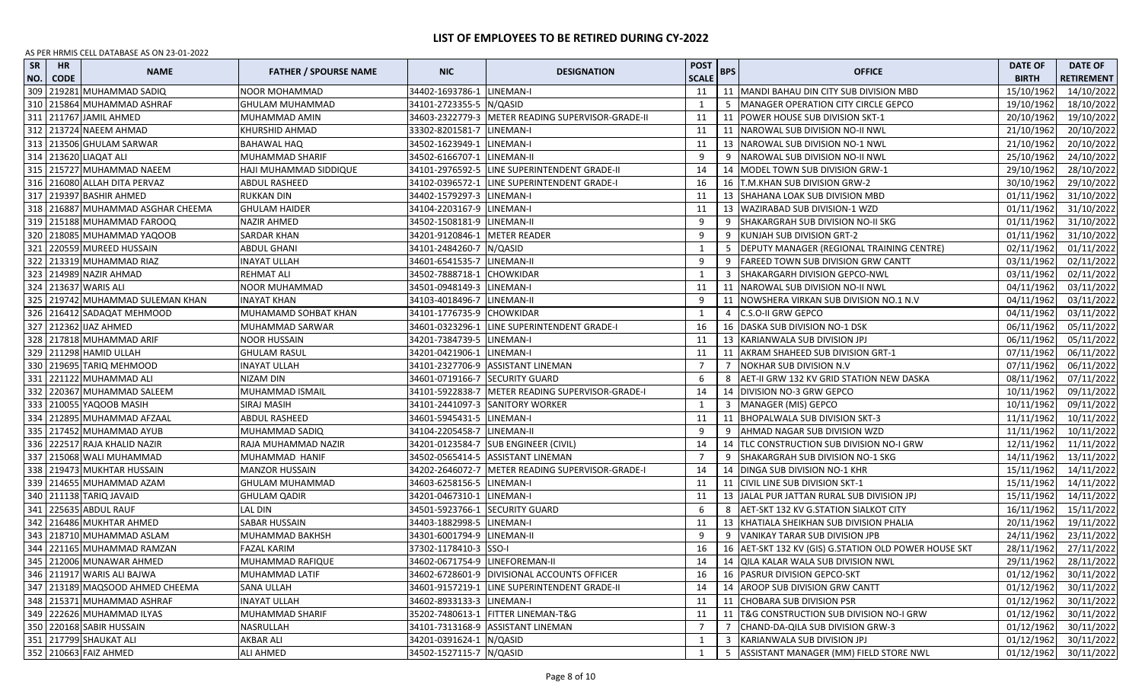| <b>SR</b><br>NO. | <b>HR</b><br><b>CODE</b> | <b>NAME</b>                       | <b>FATHER / SPOURSE NAME</b> | <b>NIC</b>                     | <b>DESIGNATION</b>                               | <b>POST</b><br><b>SCALE</b> | <b>BPS</b> | <b>OFFICE</b>                                           | <b>DATE OF</b><br><b>BIRTH</b> | <b>DATE OF</b><br><b>RETIREMENT</b> |
|------------------|--------------------------|-----------------------------------|------------------------------|--------------------------------|--------------------------------------------------|-----------------------------|------------|---------------------------------------------------------|--------------------------------|-------------------------------------|
| 309              |                          | 219281 MUHAMMAD SADIQ             | NOOR MOHAMMAD                | 34402-1693786-1                | LINEMAN-I                                        | 11                          |            | 11 MANDI BAHAU DIN CITY SUB DIVISION MBD                | 15/10/1962                     | 14/10/2022                          |
| 310              |                          | 215864 MUHAMMAD ASHRAF            | GHULAM MUHAMMAD              | 34101-2723355-5                | N/QASID                                          | 1                           |            | MANAGER OPERATION CITY CIRCLE GEPCO                     | 19/10/1962                     | 18/10/2022                          |
|                  |                          | 311 211767 JAMIL AHMED            | MUHAMMAD AMIN                | 34603-2322779-3                | METER READING SUPERVISOR-GRADE-II                | 11                          | 11         | POWER HOUSE SUB DIVISION SKT-1                          | 20/10/1962                     | 19/10/2022                          |
| 312              |                          | 213724 NAEEM AHMAD                | KHURSHID AHMAD               | 33302-8201581-7                | LINEMAN-I                                        | 11                          | 11         | INAROWAL SUB DIVISION NO-II NWL                         | 21/10/1962                     | 20/10/2022                          |
|                  |                          | 313 213506 GHULAM SARWAR          | <b>BAHAWAL HAQ</b>           | 34502-1623949-1                | LINEMAN-I                                        | 11                          |            | 13 NAROWAL SUB DIVISION NO-1 NWL                        | 21/10/1962                     | 20/10/2022                          |
|                  |                          | 314 213620 LIAQAT ALI             | MUHAMMAD SHARIF              | 34502-6166707-1                | LINEMAN-II                                       | 9                           |            | NAROWAL SUB DIVISION NO-II NWL                          | 25/10/1962                     | 24/10/2022                          |
| 315              |                          | 215727 MUHAMMAD NAEEM             | HAJI MUHAMMAD SIDDIQUE       |                                | 34101-2976592-5 LINE SUPERINTENDENT GRADE-II     | 14                          |            | 14   MODEL TOWN SUB DIVISION GRW-1                      | 29/10/1962                     | 28/10/2022                          |
|                  |                          | 316 216080 ALLAH DITA PERVAZ      | ABDUL RASHEED                |                                | 34102-0396572-1 LINE SUPERINTENDENT GRADE-I      | 16                          |            | 16 T.M.KHAN SUB DIVISION GRW-2                          | 30/10/1962                     | 29/10/2022                          |
|                  |                          | 317 219397 BASHIR AHMED           | RUKKAN DIN                   | 34402-1579297-3 LINEMAN-I      |                                                  | 11                          |            | 13 SHAHANA LOAK SUB DIVISION MBD                        | 01/11/1962                     | 31/10/2022                          |
|                  |                          | 318 216887 MUHAMMAD ASGHAR CHEEMA | <b>GHULAM HAIDER</b>         | 34104-2203167-9                | LINEMAN-I                                        | 11                          |            | 13 WAZIRABAD SUB DIVISION-1 WZD                         | 01/11/1962                     | 31/10/2022                          |
|                  |                          | 319 215188 MUHAMMAD FAROOQ        | NAZIR AHMED                  | 34502-1508181-9 LINEMAN-II     |                                                  | 9                           | -9         | SHAKARGRAH SUB DIVISION NO-II SKG                       | 01/11/1962                     | 31/10/2022                          |
|                  |                          | 320 218085 MUHAMMAD YAQOOB        | <b>SARDAR KHAN</b>           | 34201-9120846-1                | <b>METER READER</b>                              | 9                           | -9         | KUNJAH SUB DIVISION GRT-2                               | 01/11/1962                     | 31/10/2022                          |
|                  |                          | 321 220559 MUREED HUSSAIN         | <b>ABDUL GHANI</b>           | 34101-2484260-7                | N/QASID                                          | 1                           | 5          | DEPUTY MANAGER (REGIONAL TRAINING CENTRE)               | 02/11/1962                     | 01/11/2022                          |
|                  |                          | 322 213319 MUHAMMAD RIAZ          | <b>INAYAT ULLAH</b>          | 34601-6541535-7                | LINEMAN-II                                       | 9                           | 9          | FAREED TOWN SUB DIVISION GRW CANTT                      | 03/11/1962                     | 02/11/2022                          |
|                  |                          | 323 214989 NAZIR AHMAD            | REHMAT ALI                   | 34502-7888718-1                | <b>CHOWKIDAR</b>                                 | 1                           |            | SHAKARGARH DIVISION GEPCO-NWL                           | 03/11/1962                     | 02/11/2022                          |
|                  |                          | 324 213637 WARIS ALI              | <b>NOOR MUHAMMAD</b>         | 34501-0948149-3                | LINEMAN-I                                        | 11                          |            | 11 INAROWAL SUB DIVISION NO-II NWL                      | 04/11/1962                     | 03/11/2022                          |
| 325              |                          | 219742 MUHAMMAD SULEMAN KHAN      | INAYAT KHAN                  | 34103-4018496-7                | LINEMAN-II                                       | 9                           |            | NOWSHERA VIRKAN SUB DIVISION NO.1 N.V                   | 04/11/1962                     | 03/11/2022                          |
| 326              |                          | 216412 SADAQAT MEHMOOD            | MUHAMAMD SOHBAT KHAN         | 34101-1776735-9 CHOWKIDAR      |                                                  | 1                           |            | C.S.O-II GRW GEPCO                                      | 04/11/1962                     | 03/11/2022                          |
|                  |                          | 327 212362 IJAZ AHMED             | MUHAMMAD SARWAR              | 34601-0323296-1                | LINE SUPERINTENDENT GRADE-I                      | 16                          |            | 16 DASKA SUB DIVISION NO-1 DSK                          | 06/11/1962                     | 05/11/2022                          |
|                  |                          | 328 217818 MUHAMMAD ARIF          | <b>NOOR HUSSAIN</b>          | 34201-7384739-5   LINEMAN-I    |                                                  | 11                          |            | 13 KARIANWALA SUB DIVISION JPJ                          | 06/11/1962                     | 05/11/2022                          |
|                  |                          | 329 211298 HAMID ULLAH            | <b>GHULAM RASUL</b>          | 34201-0421906-1                | LINEMAN-I                                        | 11                          |            | 11   AKRAM SHAHEED SUB DIVISION GRT-1                   | 07/11/1962                     | 06/11/2022                          |
|                  |                          | 330 219695 TARIQ MEHMOOD          | <b>INAYAT ULLAH</b>          |                                | 34101-2327706-9 ASSISTANT LINEMAN                | 7                           | 7          | NOKHAR SUB DIVISION N.V                                 | 07/11/1962                     | 06/11/2022                          |
|                  |                          | 331 221122 MUHAMMAD ALI           | NIZAM DIN                    | 34601-0719166-7 SECURITY GUARD |                                                  | 6                           | 8          | AET-II GRW 132 KV GRID STATION NEW DASKA                | 08/11/1962                     | 07/11/2022                          |
|                  |                          | 332 220367 MUHAMMAD SALEEM        | MUHAMMAD ISMAIL              | 34101-5922838-7                | METER READING SUPERVISOR-GRADE-I                 | 14                          |            | 14 DIVISION NO-3 GRW GEPCO                              | 10/11/1962                     | 09/11/2022                          |
|                  |                          | 333 210055 YAQOOB MASIH           | SIRAJ MASIH                  |                                | 34101-2441097-3 SANITORY WORKER                  | 1                           |            | 3   MANAGER (MIS) GEPCO                                 | 10/11/1962                     | 09/11/2022                          |
| 334              |                          | 212895 MUHAMMAD AFZAAL            | <b>ABDUL RASHEED</b>         | 34601-5945431-5 LINEMAN-I      |                                                  | 11                          |            | 11 BHOPALWALA SUB DIVISION SKT-3                        | 11/11/1962                     | 10/11/2022                          |
| 335              |                          | 217452 MUHAMMAD AYUB              | MUHAMMAD SADIQ               | 34104-2205458-7                | LINEMAN-II                                       | 9                           | 9          | AHMAD NAGAR SUB DIVISION WZD                            | 11/11/1962                     | 10/11/2022                          |
| 336              |                          | 222517 RAJA KHALID NAZIR          | RAJA MUHAMMAD NAZIR          |                                | 34201-0123584-7 SUB ENGINEER (CIVIL)             | 14                          |            | 14   TLC CONSTRUCTION SUB DIVISION NO-I GRW             | 12/11/1962                     | 11/11/2022                          |
| 337              |                          | 215068 WALI MUHAMMAD              | MUHAMMAD HANIF               | 34502-0565414-5                | <b>ASSISTANT LINEMAN</b>                         | 7                           | 9          | SHAKARGRAH SUB DIVISION NO-1 SKG                        | 14/11/1962                     | 13/11/2022                          |
|                  |                          | 338 219473 MUKHTAR HUSSAIN        | <b>MANZOR HUSSAIN</b>        |                                | 34202-2646072-7 METER READING SUPERVISOR-GRADE-I | 14                          |            | 14   DINGA SUB DIVISION NO-1 KHR                        | 15/11/1962                     | 14/11/2022                          |
|                  |                          | 339 214655 MUHAMMAD AZAM          | GHULAM MUHAMMAD              | 34603-6258156-5 LINEMAN-I      |                                                  | 11                          |            | 11 CIVIL LINE SUB DIVISION SKT-1                        | 15/11/1962                     | 14/11/2022                          |
|                  |                          | 340 211138 TARIQ JAVAID           | GHULAM QADIR                 | 34201-0467310-1                | LINEMAN-I                                        | 11                          |            | 13 JJALAL PUR JATTAN RURAL SUB DIVISION JPJ             | 15/11/1962                     | 14/11/2022                          |
|                  |                          | 341 225635 ABDUL RAUF             | <b>LAL DIN</b>               | 34501-5923766-1 SECURITY GUARD |                                                  | 6                           | 8          | AET-SKT 132 KV G.STATION SIALKOT CITY                   | 16/11/1962                     | 15/11/2022                          |
|                  |                          | 342 216486 MUKHTAR AHMED          | SABAR HUSSAIN                | 34403-1882998-5                | LINEMAN-I                                        | 11                          |            | 13 KHATIALA SHEIKHAN SUB DIVISION PHALIA                | 20/11/1962                     | 19/11/2022                          |
|                  |                          | 343 218710 MUHAMMAD ASLAM         | MUHAMMAD BAKHSH              | 34301-6001794-9                | LINEMAN-II                                       | 9                           |            | 9 VANIKAY TARAR SUB DIVISION JPB                        | 24/11/1962                     | 23/11/2022                          |
|                  |                          | 344 221165 MUHAMMAD RAMZAN        | <b>FAZAL KARIM</b>           | 37302-1178410-3 SSO-I          |                                                  | 16                          |            | 16   AET-SKT 132 KV (GIS) G.STATION OLD POWER HOUSE SKT | 28/11/1962                     | 27/11/2022                          |
|                  |                          | 345 212006 MUNAWAR AHMED          | MUHAMMAD RAFIQUE             | 34602-0671754-9 LINEFOREMAN-II |                                                  | 14                          |            | 14 QILA KALAR WALA SUB DIVISION NWL                     | 29/11/1962                     | 28/11/2022                          |
|                  |                          | 346 211917 WARIS ALI BAJWA        | MUHAMMAD LATIF               |                                | 34602-6728601-9   DIVISIONAL ACCOUNTS OFFICER    | 16                          |            | 16   PASRUR DIVISION GEPCO-SKT                          | 01/12/1962                     | 30/11/2022                          |
|                  |                          | 347 213189 MAQSOOD AHMED CHEEMA   | SANA ULLAH                   |                                | 34601-9157219-1 LINE SUPERINTENDENT GRADE-II     | 14                          |            | 14 AROOP SUB DIVISION GRW CANTT                         | 01/12/1962                     | 30/11/2022                          |
|                  |                          | 348 215371 MUHAMMAD ASHRAF        | <b>INAYAT ULLAH</b>          | 34602-8933133-3 LINEMAN-I      |                                                  | 11                          |            | 11 CHOBARA SUB DIVISION PSR                             | 01/12/1962                     | 30/11/2022                          |
|                  |                          | 349 222626 MUHAMMAD ILYAS         | MUHAMMAD SHARIF              |                                | 35202-7480613-1 FITTER LINEMAN-T&G               | 11                          |            | 11   T&G CONSTRUCTION SUB DIVISION NO-I GRW             | 01/12/1962                     | 30/11/2022                          |
|                  |                          | 350 220168 SABIR HUSSAIN          | NASRULLAH                    |                                | 34101-7313168-9 ASSISTANT LINEMAN                | 7                           |            | CHAND-DA-QILA SUB DIVISION GRW-3                        | 01/12/1962                     | 30/11/2022                          |
|                  |                          | 351 217799 SHAUKAT ALI            | AKBAR ALI                    | 34201-0391624-1 N/QASID        |                                                  | 1                           | 3          | KARIANWALA SUB DIVISION JPJ                             | 01/12/1962                     | 30/11/2022                          |
|                  |                          | 352 210663 FAIZ AHMED             | <b>ALI AHMED</b>             | 34502-1527115-7 N/QASID        |                                                  | 1                           | 5          | ASSISTANT MANAGER (MM) FIELD STORE NWL                  | 01/12/1962                     | 30/11/2022                          |
|                  |                          |                                   |                              |                                |                                                  |                             |            |                                                         |                                |                                     |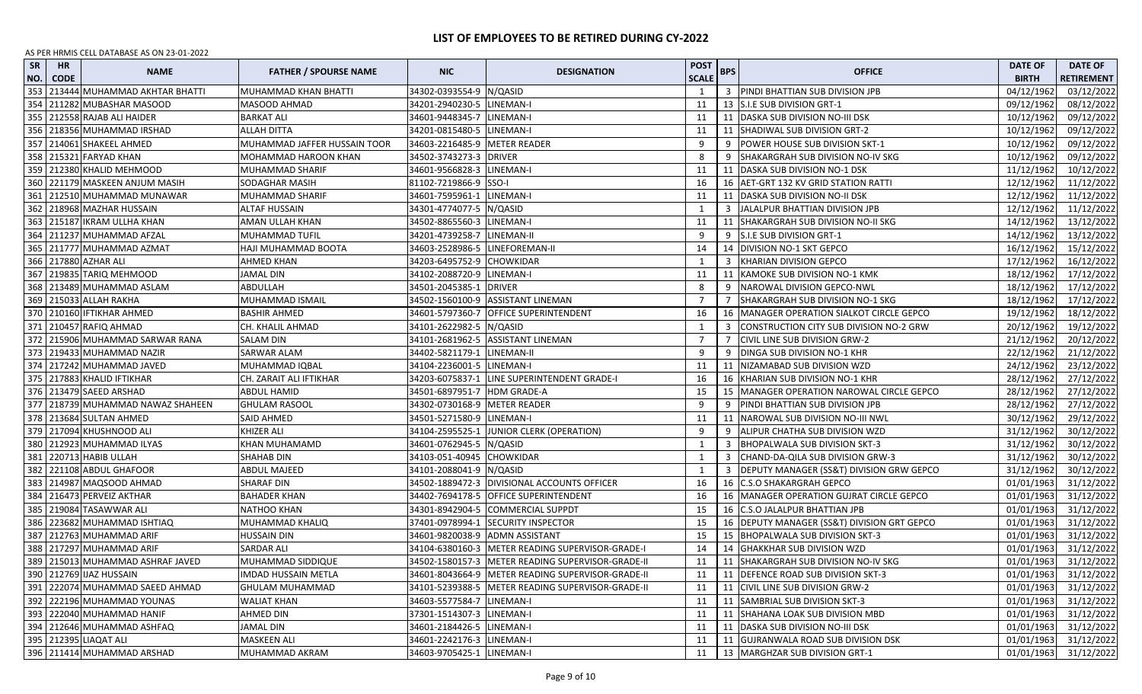| <b>SR</b><br>NO. | <b>HR</b><br><b>CODE</b> | <b>NAME</b>                         | <b>FATHER / SPOURSE NAME</b> | <b>NIC</b>                   | <b>DESIGNATION</b>                                  | <b>POST</b><br><b>SCALE</b> | <b>BPS</b> | <b>OFFICE</b>                                       | <b>DATE OF</b><br><b>BIRTH</b> | <b>DATE OF</b><br><b>RETIREMENT</b> |
|------------------|--------------------------|-------------------------------------|------------------------------|------------------------------|-----------------------------------------------------|-----------------------------|------------|-----------------------------------------------------|--------------------------------|-------------------------------------|
| 353              |                          | 213444 MUHAMMAD AKHTAR BHATTI       | MUHAMMAD KHAN BHATTI         | 34302-0393554-9 N/QASID      |                                                     | 1                           |            | 3 PINDI BHATTIAN SUB DIVISION JPB                   | 04/12/1962                     | 03/12/2022                          |
| 354              |                          | 211282 MUBASHAR MASOOD              | MASOOD AHMAD                 | 34201-2940230-5 LINEMAN-I    |                                                     | 11                          |            | 13 S.I.E SUB DIVISION GRT-1                         | 09/12/1962                     | 08/12/2022                          |
| 355              |                          | 212558 RAJAB ALI HAIDER             | <b>BARKAT ALI</b>            | 34601-9448345-7              | LINEMAN-I                                           | 11                          |            | 11   DASKA SUB DIVISION NO-III DSK                  | 10/12/1962                     | 09/12/2022                          |
| 356              |                          | 218356 MUHAMMAD IRSHAD              | ALLAH DITTA                  | 34201-0815480-5 LINEMAN-I    |                                                     | 11                          | 11         | SHADIWAL SUB DIVISION GRT-2                         | 10/12/1962                     | 09/12/2022                          |
|                  |                          | 357 214061 SHAKEEL AHMED            | MUHAMMAD JAFFER HUSSAIN TOOR | 34603-2216485-9 METER READER |                                                     | 9                           |            | POWER HOUSE SUB DIVISION SKT-1                      | 10/12/1962                     | 09/12/2022                          |
|                  |                          | 358 215321 FARYAD KHAN              | MOHAMMAD HAROON KHAN         | 34502-3743273-3 DRIVER       |                                                     | 8                           | 9          | SHAKARGRAH SUB DIVISION NO-IV SKG                   | 10/12/1962                     | 09/12/2022                          |
|                  |                          | 359 212380 KHALID MEHMOOD           | MUHAMMAD SHARIF              | 34601-9566828-3              | LINEMAN-I                                           | 11                          |            | 11   DASKA SUB DIVISION NO-1 DSK                    | 11/12/1962                     | 10/12/2022                          |
| 360              |                          | 221179 MASKEEN ANJUM MASIH          | SODAGHAR MASIH               | 81102-7219866-9              | SSO-I                                               | 16                          |            | 16 AET-GRT 132 KV GRID STATION RATTI                | 12/12/1962                     | 11/12/2022                          |
|                  |                          | 361 212510 MUHAMMAD MUNAWAR         | MUHAMMAD SHARIF              | 34601-7595961-1              | LINEMAN-I                                           | 11                          |            | 11   DASKA SUB DIVISION NO-II DSK                   | 12/12/1962                     | 11/12/2022                          |
|                  |                          | 362 218968 MAZHAR HUSSAIN           | <b>ALTAF HUSSAIN</b>         | 34301-4774077-5 N/QASID      |                                                     | 1                           |            | 3 JALALPUR BHATTIAN DIVISION JPB                    | 12/12/1962                     | 11/12/2022                          |
|                  |                          | 363 215187 IKRAM ULLHA KHAN         | AMAN ULLAH KHAN              | 34502-8865560-3 LINEMAN-I    |                                                     | 11                          |            | 11 SHAKARGRAH SUB DIVISION NO-II SKG                | 14/12/1962                     | 13/12/2022                          |
|                  |                          | 364 211237 MUHAMMAD AFZAL           | MUHAMMAD TUFIL               | 34201-4739258-7              | LINEMAN-II                                          | 9                           |            | 9 S.I.E SUB DIVISION GRT-1                          | 14/12/1962                     | 13/12/2022                          |
|                  |                          | 365   211777 MUHAMMAD AZMAT         | HAJI MUHAMMAD BOOTA          | 34603-2528986-5              | LINEFOREMAN-II                                      | 14                          |            | 14 DIVISION NO-1 SKT GEPCO                          | 16/12/1962                     | 15/12/2022                          |
|                  |                          | 366 217880 AZHAR ALI                | AHMED KHAN                   | 34203-6495752-9 CHOWKIDAR    |                                                     | 1                           |            | KHARIAN DIVISION GEPCO                              | 17/12/1962                     | 16/12/2022                          |
| 367              |                          | 219835 TARIQ MEHMOOD                | <b>JAMAL DIN</b>             | 34102-2088720-9              | LINEMAN-I                                           | 11                          |            | 11 KAMOKE SUB DIVISION NO-1 KMK                     | 18/12/1962                     | 17/12/2022                          |
| 368              |                          | 213489 MUHAMMAD ASLAM               | ABDULLAH                     | 34501-2045385-1              | <b>DRIVER</b>                                       | 8                           |            | NAROWAL DIVISION GEPCO-NWL                          | 18/12/1962                     | 17/12/2022                          |
| 369              |                          | 215033 ALLAH RAKHA                  | MUHAMMAD ISMAIL              | 34502-1560100-9              | <b>ASSISTANT LINEMAN</b>                            | 7                           |            | SHAKARGRAH SUB DIVISION NO-1 SKG                    | 18/12/1962                     | 17/12/2022                          |
|                  |                          | 370 210160 IFTIKHAR AHMED           | <b>BASHIR AHMED</b>          |                              | 34601-5797360-7 OFFICE SUPERINTENDENT               | 16                          |            | 16   MANAGER OPERATION SIALKOT CIRCLE GEPCO         | 19/12/1962                     | 18/12/2022                          |
|                  |                          | 371 210457 RAFIQ AHMAD              | CH. KHALIL AHMAD             | 34101-2622982-5 N/QASID      |                                                     | 1                           |            | CONSTRUCTION CITY SUB DIVISION NO-2 GRW             | 20/12/1962                     | 19/12/2022                          |
|                  |                          | 372   215906 MUHAMMAD SARWAR RANA   | <b>SALAM DIN</b>             |                              | 34101-2681962-5 ASSISTANT LINEMAN                   | 7                           |            | CIVIL LINE SUB DIVISION GRW-2                       | 21/12/1962                     | 20/12/2022                          |
|                  |                          | 373 219433 MUHAMMAD NAZIR           | SARWAR ALAM                  | 34402-5821179-1              | LINEMAN-II                                          | 9                           | 9          | DINGA SUB DIVISION NO-1 KHR                         | 22/12/1962                     | 21/12/2022                          |
|                  |                          | 374 217242 MUHAMMAD JAVED           | MUHAMMAD IQBAL               | 34104-2236001-5              | LINEMAN-I                                           | 11                          |            | 11   NIZAMABAD SUB DIVISION WZD                     | 24/12/1962                     | 23/12/2022                          |
|                  |                          | 375 217883 KHALID IFTIKHAR          | CH. ZARAIT ALI IFTIKHAR      | 34203-6075837-1              | LINE SUPERINTENDENT GRADE-I                         | 16                          |            | 16 KHARIAN SUB DIVISION NO-1 KHR                    | 28/12/1962                     | 27/12/2022                          |
|                  |                          | 376 213479 SAEED ARSHAD             | ABDUL HAMID                  | 34501-6897951-7 HDM GRADE-A  |                                                     | 15                          |            | 15   MANAGER OPERATION NAROWAL CIRCLE GEPCO         | 28/12/1962                     | 27/12/2022                          |
|                  |                          | 377   218739 MUHAMMAD NAWAZ SHAHEEN | <b>GHULAM RASOOL</b>         | 34302-0730168-9 METER READER |                                                     | 9                           | 9          | PINDI BHATTIAN SUB DIVISION JPB                     | 28/12/1962                     | 27/12/2022                          |
|                  |                          | 378 213684 SULTAN AHMED             | SAID AHMED                   | 34501-5271580-9 LINEMAN-I    |                                                     | 11                          |            | 11 NAROWAL SUB DIVISION NO-III NWL                  | 30/12/1962                     | 29/12/2022                          |
|                  |                          | 379 217094 KHUSHNOOD ALI            | KHIZER ALI                   | 34104-2595525-1              | JUNIOR CLERK (OPERATION)                            | 9                           |            | ALIPUR CHATHA SUB DIVISION WZD                      | 31/12/1962                     | 30/12/2022                          |
| 380              |                          | 212923 MUHAMMAD ILYAS               | KHAN MUHAMAMD                | 34601-0762945-5 N/QASID      |                                                     | $\mathbf{1}$                |            | <b>BHOPALWALA SUB DIVISION SKT-3</b>                | 31/12/1962                     | 30/12/2022                          |
| 381              |                          | 220713 HABIB ULLAH                  | SHAHAB DIN                   | 34103-051-40945              | <b>CHOWKIDAR</b>                                    | 1                           |            | CHAND-DA-QILA SUB DIVISION GRW-3                    | 31/12/1962                     | 30/12/2022                          |
| 382              |                          | 221108 ABDUL GHAFOOR                | ABDUL MAJEED                 | 34101-2088041-9   N/QASID    |                                                     | 1                           |            | <b>DEPUTY MANAGER (SS&amp;T) DIVISION GRW GEPCO</b> | 31/12/1962                     | 30/12/2022                          |
|                  |                          | 383 214987 MAQSOOD AHMAD            | <b>SHARAF DIN</b>            |                              | 34502-1889472-3 DIVISIONAL ACCOUNTS OFFICER         | 16                          |            | 16 C.S.O SHAKARGRAH GEPCO                           | 01/01/1963                     | 31/12/2022                          |
|                  |                          | 384 216473 PERVEIZ AKTHAR           | <b>BAHADER KHAN</b>          |                              | 34402-7694178-5 OFFICE SUPERINTENDENT               | 16                          |            | 16   MANAGER OPERATION GUJRAT CIRCLE GEPCO          | 01/01/1963                     | 31/12/2022                          |
|                  |                          | 385 219084 TASAWWAR ALI             | NATHOO KHAN                  |                              | 34301-8942904-5 COMMERCIAL SUPPDT                   | 15                          |            | 16 C.S.O JALALPUR BHATTIAN JPB                      | 01/01/1963                     | 31/12/2022                          |
| 386              |                          | 223682 MUHAMMAD ISHTIAQ             | MUHAMMAD KHALIQ              | 37401-0978994-1              | <b>SECURITY INSPECTOR</b>                           | 15                          |            | 16 DEPUTY MANAGER (SS&T) DIVISION GRT GEPCO         | 01/01/1963                     | 31/12/2022                          |
|                  |                          | 387 212763 MUHAMMAD ARIF            | <b>HUSSAIN DIN</b>           | 34601-9820038-9              | <b>ADMN ASSISTANT</b>                               | 15                          |            | 15 BHOPALWALA SUB DIVISION SKT-3                    | 01/01/1963                     | 31/12/2022                          |
|                  |                          | 388   217297   MUHAMMAD ARIF        | SARDAR ALI                   |                              | 34104-6380160-3   METER READING SUPERVISOR-GRADE-I  | 14                          |            | 14 GHAKKHAR SUB DIVISION WZD                        | 01/01/1963                     | 31/12/2022                          |
|                  |                          | 389 215013 MUHAMMAD ASHRAF JAVED    | MUHAMMAD SIDDIQUE            |                              | 34502-1580157-3 METER READING SUPERVISOR-GRADE-II   | 11                          |            | 11 SHAKARGRAH SUB DIVISION NO-IV SKG                | 01/01/1963                     | 31/12/2022                          |
|                  |                          | 390 212769 JJAZ HUSSAIN             | <b>IMDAD HUSSAIN METLA</b>   |                              | 34601-8043664-9   METER READING SUPERVISOR-GRADE-II | 11                          |            | 11 DEFENCE ROAD SUB DIVISION SKT-3                  |                                | 01/01/1963 31/12/2022               |
|                  |                          | 391 222074 MUHAMMAD SAEED AHMAD     | <b>GHULAM MUHAMMAD</b>       |                              | 34101-5239388-5   METER READING SUPERVISOR-GRADE-II | 11                          |            | 11 CIVIL LINE SUB DIVISION GRW-2                    | 01/01/1963                     | 31/12/2022                          |
|                  |                          | 392 222196 MUHAMMAD YOUNAS          | <b>WALIAT KHAN</b>           | 34603-5577584-7 LINEMAN-I    |                                                     | 11                          |            | 11 SAMBRIAL SUB DIVISION SKT-3                      | 01/01/1963                     | 31/12/2022                          |
|                  |                          | 393 222040 MUHAMMAD HANIF           | AHMED DIN                    | 37301-1514307-3 LINEMAN-I    |                                                     | 11                          |            | 11 SHAHANA LOAK SUB DIVISION MBD                    | 01/01/1963                     | 31/12/2022                          |
| 394              |                          | 212646 MUHAMMAD ASHFAQ              | JAMAL DIN                    | 34601-2184426-5 LINEMAN-I    |                                                     | 11                          |            | 11   DASKA SUB DIVISION NO-III DSK                  | 01/01/1963                     | 31/12/2022                          |
|                  |                          | 395 212395 LIAQAT ALI               | MASKEEN ALI                  | 34601-2242176-3 LINEMAN-I    |                                                     | 11                          |            | 11 GUJRANWALA ROAD SUB DIVISION DSK                 | 01/01/1963                     | 31/12/2022                          |
|                  |                          | 396 211414 MUHAMMAD ARSHAD          | MUHAMMAD AKRAM               | 34603-9705425-1 LINEMAN-I    |                                                     | 11                          |            | 13   MARGHZAR SUB DIVISION GRT-1                    | 01/01/1963                     | 31/12/2022                          |
|                  |                          |                                     |                              |                              |                                                     |                             |            |                                                     |                                |                                     |